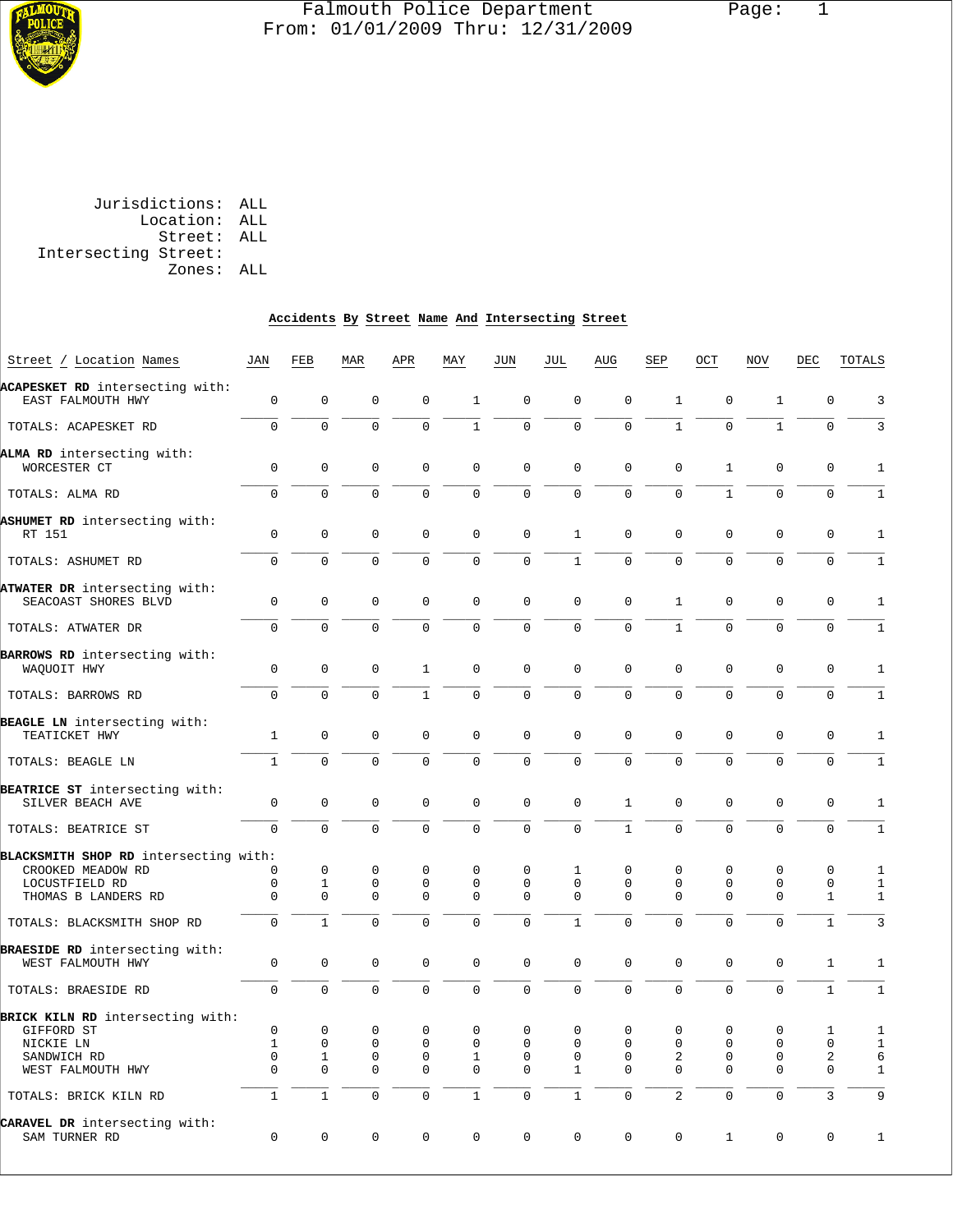

#### Falmouth Police Department Page: 1  $\frac{1}{3}$  From: 01/01/2009 Thru: 12/31/2009

|                      | Jurisdictions: ALL |  |
|----------------------|--------------------|--|
|                      | Location: ALL      |  |
|                      | Street: ALL        |  |
| Intersecting Street: |                    |  |
|                      | Zones: ALL         |  |
|                      |                    |  |

# **Accidents By Street Name And Intersecting Street**

| Street / Location Names                                    | JAN            | FEB            | MAR            | APR            | MAY          | JUN            | JUL            | AUG          | SEP            | OCT          | NOV          | DEC          | TOTALS         |
|------------------------------------------------------------|----------------|----------------|----------------|----------------|--------------|----------------|----------------|--------------|----------------|--------------|--------------|--------------|----------------|
| ACAPESKET RD intersecting with:<br>EAST FALMOUTH HWY       | $\mathsf 0$    | 0              | $\mathbf 0$    | $\mathbf 0$    | $\mathbf{1}$ | $\mathbf 0$    | $\mathbf 0$    | $\mathbf{0}$ | $\mathbf 1$    | 0            | $\mathbf{1}$ | $\mathbf 0$  | 3              |
| TOTALS: ACAPESKET RD                                       | $\overline{0}$ | $\Omega$       | $\Omega$       | $\Omega$       | $\mathbf{1}$ | $\mathbf 0$    | $\mathbf 0$    | $\Omega$     | $\mathbf{1}$   | $\Omega$     | $\mathbf{1}$ | $\Omega$     | $\overline{3}$ |
| ALMA RD intersecting with:<br>WORCESTER CT                 | 0              | 0              | $\mathbf 0$    | $\mathbf{0}$   | $\mathbf{0}$ | $\mathbf 0$    | $\mathbf 0$    | $\Omega$     | $\mathbf 0$    | $\mathbf{1}$ | $\mathbf 0$  | $\mathbf 0$  | $\mathbf{1}$   |
| TOTALS: ALMA RD                                            | $\overline{0}$ | $\overline{0}$ | $\mathbf 0$    | $\Omega$       | $\mathbf 0$  | $\mathbf 0$    | $\mathbf 0$    | $\mathbf 0$  | $\mathbf 0$    | $\mathbf{1}$ | $\mathbf 0$  | $\mathbf 0$  | $1\,$          |
| ASHUMET RD intersecting with:<br>RT 151                    | 0              | $\mathsf 0$    | $\mathsf 0$    | $\Omega$       | 0            | 0              | $\mathbf{1}$   | 0            | $\mathsf 0$    | $\mathsf 0$  | 0            | $\mathsf 0$  | 1              |
| TOTALS: ASHUMET RD                                         | $\mathbf 0$    | $\mathbf 0$    | $\mathbf 0$    | $\mathbf 0$    | $\mathbf 0$  | $\overline{0}$ | $\,1\,$        | $\mathbf{0}$ | $\mathbf 0$    | $\mathbf 0$  | $\mathbf 0$  | $\mathbf 0$  | $\mathbf{1}$   |
| ATWATER DR intersecting with:<br>SEACOAST SHORES BLVD      | 0              | $\mathbf 0$    | $\mathbf 0$    | $\mathbf 0$    | $\mathbf 0$  | $\mathbf 0$    | $\mathbf 0$    | $\mathbf 0$  | $\mathbf{1}$   | $\mathbf 0$  | $\mathbf 0$  | $\mathbf 0$  | $\mathbf{1}$   |
| TOTALS: ATWATER DR                                         | $\Omega$       | $\Omega$       | $\Omega$       | $\Omega$       | $\mathbf 0$  | $\mathbf 0$    | $\mathbf 0$    | $\Omega$     | $\mathbf{1}$   | $\Omega$     | $\Omega$     | $\mathbf 0$  | $\mathbf 1$    |
| BARROWS RD intersecting with:<br>WAQUOIT HWY               | 0              | $\mathbf{0}$   | $\mathbf 0$    | $\mathbf{1}$   | $\mathbf{0}$ | $\mathbf 0$    | $\mathbf 0$    | $\mathbf 0$  | $\mathbf 0$    | $\mathbf 0$  | $\mathbf 0$  | $\mathbf 0$  | $\mathbf{1}$   |
| TOTALS: BARROWS RD                                         | $\Omega$       | $\Omega$       | $\Omega$       | $\mathbf{1}$   | $\Omega$     | $\mathbf 0$    | $\mathbf 0$    | $\Omega$     | $\Omega$       | $\Omega$     | $\Omega$     | $\Omega$     | $\mathbf{1}$   |
| BEAGLE LN intersecting with:<br>TEATICKET HWY              | $\mathbf{1}$   | $\Omega$       | $\Omega$       | $\Omega$       | $\Omega$     | $\Omega$       | $\Omega$       | $\Omega$     | $\Omega$       | $\Omega$     | $\Omega$     | $\Omega$     | 1              |
| TOTALS: BEAGLE LN                                          | $\mathbf{1}$   | $\mathbf 0$    | $\mathbf 0$    | $\mathbf 0$    | $\mathbf 0$  | $\mathbf 0$    | $\mathbf 0$    | $\Omega$     | $\mathbf 0$    | $\mathbf 0$  | $\mathbf 0$  | $\mathbf 0$  | $\mathbf{1}$   |
| BEATRICE ST intersecting with:<br>SILVER BEACH AVE         | $\Omega$       | $\Omega$       | $\Omega$       | $\Omega$       | $\mathbf{0}$ | $\Omega$       | $\Omega$       | $\mathbf{1}$ | $\Omega$       | $\Omega$     | $\Omega$     | $\mathbf 0$  | $\mathbf{1}$   |
| TOTALS: BEATRICE ST                                        | O              | $\Omega$       | $\Omega$       | $\Omega$       | $\Omega$     | $\Omega$       | $\Omega$       | $\mathbf{1}$ | $\Omega$       | $\Omega$     | $\Omega$     | $\Omega$     | $\mathbf 1$    |
| BLACKSMITH SHOP RD intersecting with:<br>CROOKED MEADOW RD | 0              | $\mathbf{0}$   | $\mathbf 0$    | $\mathbf 0$    | $\mathbf{0}$ | $\mathbf 0$    | 1              | $\mathbf 0$  | 0              | $\mathbf 0$  | $\mathbf 0$  | $\mathbf 0$  | $\mathbf{1}$   |
| LOCUSTFIELD RD                                             | 0              | $\mathbf{1}$   | $\mathbf 0$    | $\mathbf{0}$   | $\mathbf{0}$ | 0              | $\mathbf 0$    | $\mathbf 0$  | $\mathbf 0$    | 0            | $\mathbf 0$  | $\mathbf 0$  | $\mathbf{1}$   |
| THOMAS B LANDERS RD                                        | 0              | 0              | $\mathbf 0$    | $\Omega$       | $\Omega$     | $\Omega$       | $\mathbf 0$    | $\Omega$     | $\Omega$       | $\Omega$     | $\Omega$     | $\mathbf{1}$ | $\mathbf{1}$   |
| TOTALS: BLACKSMITH SHOP RD                                 | $\overline{0}$ | $\mathbf{1}$   | $\Omega$       | $\Omega$       | $\Omega$     | $\Omega$       | $\mathbf{1}$   | $\Omega$     | $\Omega$       | $\Omega$     | $\Omega$     | $\mathbf{1}$ | $\overline{3}$ |
| BRAESIDE RD intersecting with:<br>WEST FALMOUTH HWY        | 0              | 0              | $\mathbf 0$    | $\mathbf 0$    | $\mathsf 0$  | $\mathsf 0$    | $\mathbf 0$    | $\mathbf{0}$ | $\mathbf 0$    | $\mathbf 0$  | $\mathbf 0$  | $\mathbf{1}$ | $\mathbf{1}$   |
| TOTALS: BRAESIDE RD                                        | $\mathbf 0$    | $\Omega$       | $\mathbf 0$    | $\Omega$       | $\Omega$     | $\mathbf 0$    | $\overline{0}$ | $\Omega$     | $\Omega$       | $\Omega$     | $\Omega$     | $\mathbf{1}$ | $\mathbf{1}$   |
| BRICK KILN RD intersecting with:                           |                |                |                |                |              |                |                |              |                |              |              |              |                |
| GIFFORD ST                                                 | $\Omega$       | $\Omega$       | $\Omega$       | $\Omega$       | $\Omega$     | $\Omega$       | $\Omega$       | $\Omega$     | 0              | $\Omega$     | $\Omega$     | 1            | 1              |
| NICKIE LN                                                  | $\mathbf{1}$   | 0              | $\mathsf 0$    | $\mathbf 0$    | $\mathbf{0}$ | 0              | $\mathbf 0$    | $\mathbf 0$  | $\mathbf 0$    | 0            | $\mathbf 0$  | $\mathbf 0$  | $\mathbf{1}$   |
| SANDWICH RD                                                | 0              | 1              | $\mathbf 0$    | $\mathbf{0}$   | $\mathbf{1}$ | $\Omega$       | $\Omega$       | $\Omega$     | 2              | 0            | $\mathbf 0$  | 2            | 6              |
| WEST FALMOUTH HWY                                          | 0              | 0              | $\mathbf 0$    | $\mathbf 0$    | $\mathbf{0}$ | 0              | 1              | 0            | $\mathbf 0$    | 0            | $\mathbf 0$  | $\mathbf 0$  | $\mathbf{1}$   |
| TOTALS: BRICK KILN RD                                      | $\mathbf{1}$   | $\mathbf{1}$   | $\overline{0}$ | $\overline{0}$ | $\mathbf{1}$ | $\mathbf 0$    | $\mathbf{1}$   | 0            | $\overline{a}$ | $\mathbf 0$  | $\mathbf 0$  | 3            | 9              |
| CARAVEL DR intersecting with:<br>SAM TURNER RD             | $\Omega$       | $\mathsf 0$    | $\Omega$       | $\Omega$       | $\Omega$     | $\mathbf 0$    | $\Omega$       | $\Omega$     | $\Omega$       | $1\,$        | $\Omega$     | $\mathsf 0$  | $\mathbf 1$    |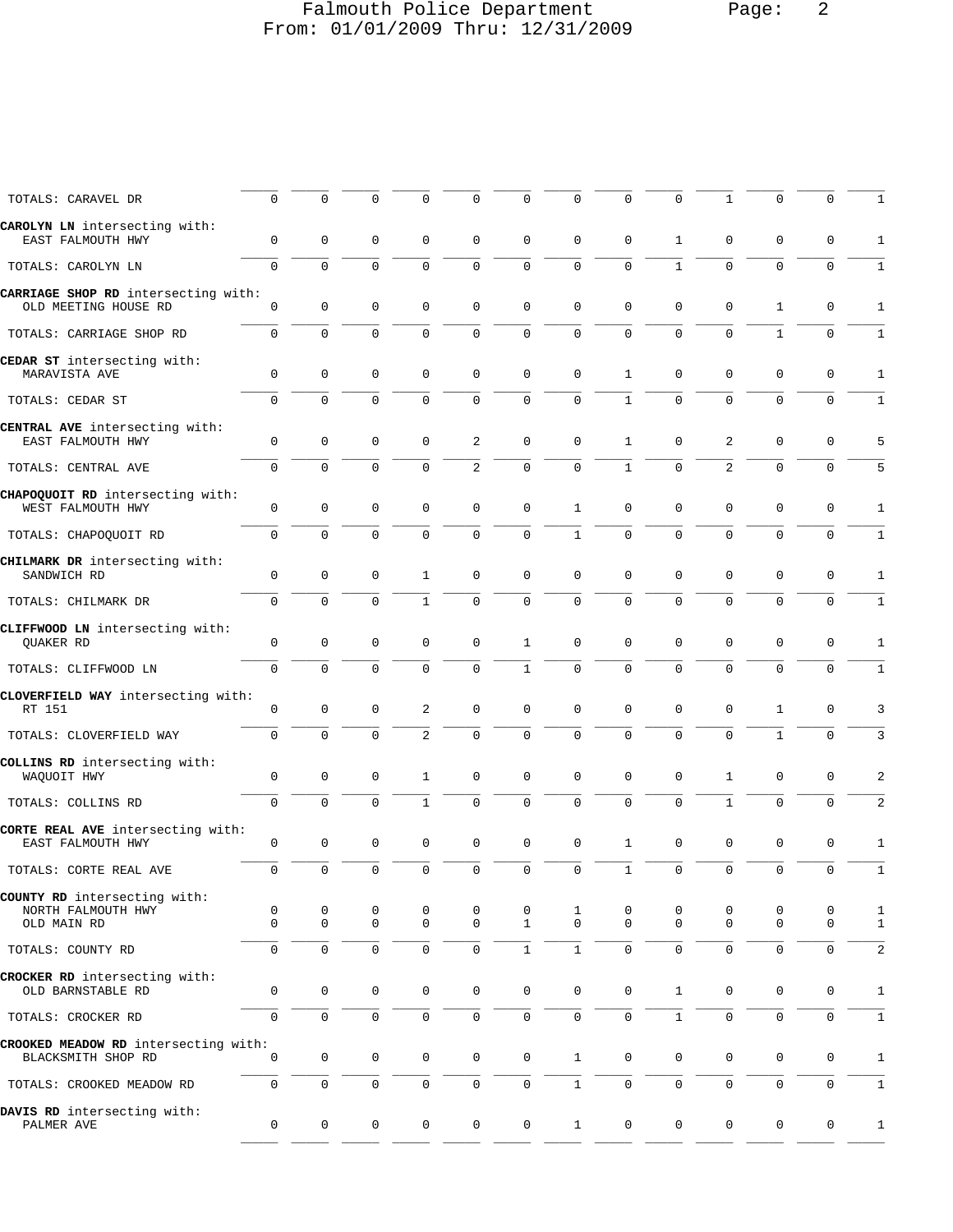# Falmouth Police Department Page: 2 From: 01/01/2009 Thru: 12/31/2009

| TOTALS: CARAVEL DR                                          | 0                   | $\Omega$            | $\Omega$            | 0            | 0                   | 0                   | $\mathbf 0$         | 0            | 0            | 1            |                | 0                   | $\mathbf{1}$ |
|-------------------------------------------------------------|---------------------|---------------------|---------------------|--------------|---------------------|---------------------|---------------------|--------------|--------------|--------------|----------------|---------------------|--------------|
| CAROLYN LN intersecting with:<br>EAST FALMOUTH HWY          | $\mathbf 0$         | 0                   | 0                   | 0            | 0                   | 0                   | $\mathbf 0$         | 0            | 1            | 0            | 0              | 0                   | 1            |
| TOTALS: CAROLYN LN                                          | $\mathbf 0$         | $\mathbf 0$         | $\mathbf 0$         | $\mathbf 0$  | $\mathbf 0$         | $\mathbf 0$         | $\mathbf 0$         | 0            | $\mathbf{1}$ | $\mathbf 0$  | 0              | $\mathbf 0$         | 1            |
| CARRIAGE SHOP RD intersecting with:<br>OLD MEETING HOUSE RD | 0                   | 0                   | $\mathbf 0$         | $\mathbf 0$  | $\mathbf 0$         | $\mathbf 0$         | $\mathbf 0$         | 0            | $\mathbf 0$  | $\mathbf 0$  | 1              | $\mathsf 0$         | 1            |
| TOTALS: CARRIAGE SHOP RD                                    | $\mathbf 0$         | 0                   | $\mathbf 0$         | $\mathbf 0$  | $\mathbf 0$         | $\mathsf 0$         | $\mathbf 0$         | 0            | $\mathbf 0$  | 0            | $\mathbf{1}$   | 0                   | 1            |
| CEDAR ST intersecting with:<br>MARAVISTA AVE                | 0                   | 0                   | 0                   | 0            | 0                   | $\mathbf 0$         | $\mathbf 0$         | 1            | 0            | 0            | 0              | 0                   | 1            |
| TOTALS: CEDAR ST                                            | $\Omega$            | $\Omega$            | $\Omega$            | $\Omega$     | $\Omega$            | $\Omega$            | $\Omega$            | $\mathbf{1}$ | $\Omega$     | $\Omega$     | $\Omega$       | $\mathbf 0$         | 1            |
| CENTRAL AVE intersecting with:<br>EAST FALMOUTH HWY         | 0                   | $\mathbf 0$         | 0                   | 0            | 2                   | $\mathbf 0$         | 0                   | 1            | 0            | 2            | 0              | 0                   | 5            |
| TOTALS: CENTRAL AVE                                         | $\mathbf 0$         | $\mathbf{0}$        | $\mathbf 0$         | $\mathbf 0$  | $\overline{a}$      | $\mathbf 0$         | $\mathbf 0$         | $\mathbf 1$  | $\mathbf 0$  | 2            | 0              | $\mathbf 0$         | 5            |
| CHAPOQUOIT RD intersecting with:<br>WEST FALMOUTH HWY       | 0                   | $\mathbf 0$         | 0                   | $\mathbf 0$  | $\mathbf 0$         | $\mathbf 0$         | 1                   | 0            | $\mathbf 0$  | $\mathbf 0$  | $\mathbf{0}$   | 0                   | 1            |
| TOTALS: CHAPOQUOIT RD                                       | $\mathbf 0$         | 0                   | 0                   | $\mathbf 0$  | $\mathbf 0$         | $\mathbf 0$         | 1                   | 0            | $\mathbf 0$  | 0            | 0              | $\mathbf 0$         | 1            |
| CHILMARK DR intersecting with:<br>SANDWICH RD               | $\mathbf 0$         | $\mathbf 0$         | $\mathbf 0$         | 1            | $\mathbf 0$         | $\mathbf 0$         | $\mathbf 0$         | $\mathbf 0$  | $\mathbf 0$  | $\mathbf 0$  | 0              | 0                   | 1            |
| TOTALS: CHILMARK DR                                         | $\mathbf 0$         | $\Omega$            | $\mathbf 0$         | $\mathbf{1}$ | $\mathbf{0}$        | $\mathbf 0$         | $\mathbf 0$         | $\Omega$     | $\Omega$     | 0            | 0              | $\mathbf 0$         | 1            |
| CLIFFWOOD LN intersecting with:<br>QUAKER RD                | 0                   | 0                   | 0                   | $\mathbf 0$  | $\mathbf 0$         | 1                   | $\mathbf 0$         | 0            | 0            | 0            | 0              | 0                   | 1            |
| TOTALS: CLIFFWOOD LN                                        | $\mathbf 0$         | $\mathbf 0$         | $\mathbf 0$         | $\mathbf 0$  | $\mathbf{0}$        | $\mathbf{1}$        | $\mathbf 0$         | $\mathbf 0$  | $\mathbf 0$  | $\mathbf 0$  | $\mathbf{0}$   | $\mathbf 0$         | 1            |
| CLOVERFIELD WAY intersecting with:<br>RT 151                | 0                   | $\mathbf 0$         | 0                   | 2            | $\mathbf 0$         | $\mathbf 0$         | $\mathbf 0$         | 0            | 0            | 0            | 1              | 0                   | 3            |
| TOTALS: CLOVERFIELD WAY                                     | $\mathbf 0$         | 0                   | $\Omega$            | 2            | $\mathbf 0$         | $\mathbf 0$         | $\Omega$            | $\Omega$     | $\Omega$     | 0            | $\mathbf{1}$   | $\mathbf 0$         | 3            |
| COLLINS RD intersecting with:<br>WAQUOIT HWY                | $\mathsf 0$         | $\mathbf 0$         | 0                   | 1            | $\mathbf 0$         | $\mathbf 0$         | $\mathbf 0$         | 0            | $\mathbf 0$  | $\mathbf{1}$ | $\mathsf 0$    | 0                   | 2            |
| TOTALS: COLLINS RD                                          | $\mathbf 0$         | 0                   | $\mathbf 0$         | $\mathbf{1}$ | $\mathbf 0$         | $\mathbf 0$         | $\mathbf 0$         | 0            | $\mathbf 0$  | $\mathbf{1}$ | 0              | $\mathbf 0$         | 2            |
| CORTE REAL AVE intersecting with:<br>EAST FALMOUTH HWY      | $\mathbf 0$         | 0                   | 0                   | $\mathbf 0$  | $\mathbf 0$         | $\mathbf 0$         | $\mathbf 0$         | 1            | $\mathbf 0$  | $\mathbf 0$  | $\mathbf{0}$   | $\mathbf 0$         | 1            |
| TOTALS: CORTE REAL AVE                                      | $\mathsf{O}\xspace$ | 0                   | $\mathbf 0$         | $\mathbf 0$  | $\mathsf 0$         | $\mathsf 0$         | $\mathsf 0$         | $\mathbf 1$  | $\mathsf 0$  | $\mathbf 0$  | $\overline{0}$ | $\mathbf 0$         | $1\,$        |
| COUNTY RD intersecting with:<br>NORTH FALMOUTH HWY          | 0                   | 0                   | 0                   | 0            | 0                   | 0                   | $\mathbf{1}$        | 0            | 0            | 0            | 0              | 0                   | 1            |
| OLD MAIN RD                                                 | $\Omega$            | $\mathbf{0}$        | $\mathbf 0$         | $\mathbf 0$  | $\mathbf 0$         | $\mathbf{1}$        | $\Omega$            | $\Omega$     | $\Omega$     | 0            | $\mathbf 0$    | $\mathbf 0$         | 1            |
| TOTALS: COUNTY RD                                           | 0                   | $\mathbf 0$         | $\mathsf{O}\xspace$ | $\mathbf 0$  | $\mathbf 0$         | $\mathbf{1}$        | $\mathbf{1}$        | 0            | $\mathbf 0$  | 0            | $\mathbf{0}$   | 0                   | 2            |
| CROCKER RD intersecting with:<br>OLD BARNSTABLE RD          | $\mathbf 0$         | $\mathbf 0$         | $\mathsf{O}\xspace$ | 0            | $\mathsf{O}\xspace$ | $\mathsf{O}\xspace$ | $\mathsf 0$         | $\mathsf 0$  | $\mathbf{1}$ | $\mathsf 0$  | $\mathbf 0$    | $\mathbf 0$         | $1\,$        |
| TOTALS: CROCKER RD                                          | $\mathsf{O}\xspace$ | 0                   | $\mathsf 0$         | 0            | $\mathbf 0$         | $\mathsf{O}\xspace$ | $\mathsf{O}\xspace$ | 0            | $\mathbf{1}$ | 0            | 0              | 0                   | $\mathbf 1$  |
| CROOKED MEADOW RD intersecting with:<br>BLACKSMITH SHOP RD  | 0                   | $\mathsf{O}$        | 0                   | 0            | $\mathsf{O}\xspace$ | $\mathbf 0$         | $\mathbf{1}$        | $\mathbf 0$  | $\mathsf{O}$ | $\mathsf{O}$ | $\mathbf 0$    | $\mathsf 0$         | $1\,$        |
| TOTALS: CROOKED MEADOW RD                                   | $\mathbf 0$         | $\mathsf{O}\xspace$ | $\mathsf{O}\xspace$ | $\mathbf 0$  | $\mathbf 0$         | $\mathsf{O}\xspace$ | $\mathbf{1}$        | 0            | $\mathsf{O}$ | $\mathsf 0$  | 0              | $\mathsf{O}\xspace$ | $\,1\,$      |
| DAVIS RD intersecting with:<br>PALMER AVE                   | 0                   | $\mathbf 0$         | 0                   | $\mathbf 0$  | $\mathbf 0$         | $\mathbf 0$         | $\mathbf{1}$        | $\mathbf 0$  | $\mathsf{O}$ | $\mathsf{O}$ | 0              | 0                   | $1\,$        |
|                                                             |                     |                     |                     |              |                     |                     |                     |              |              |              |                |                     |              |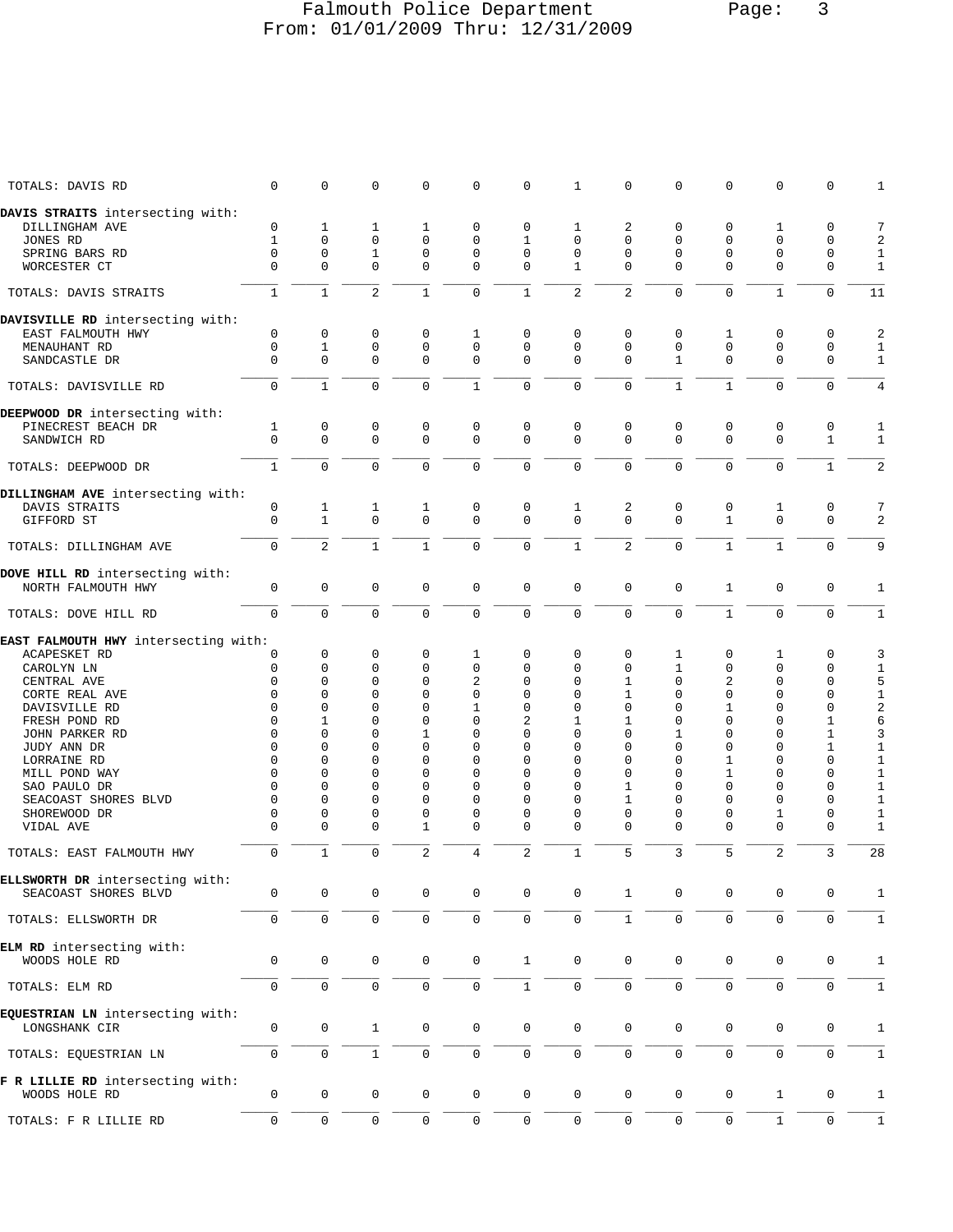## Falmouth Police Department Page: 3 From: 01/01/2009 Thru: 12/31/2009

| TOTALS: DAVIS RD                     | $\mathbf 0$         | 0                   | $\mathbf 0$         | 0                   | $\mathbf 0$         | $\mathbf 0$         | 1                   | 0              | $\mathbf 0$         | 0            | 0              | 0                   | 1              |
|--------------------------------------|---------------------|---------------------|---------------------|---------------------|---------------------|---------------------|---------------------|----------------|---------------------|--------------|----------------|---------------------|----------------|
| DAVIS STRAITS intersecting with:     |                     |                     |                     |                     |                     |                     |                     |                |                     |              |                |                     |                |
|                                      |                     |                     |                     |                     |                     |                     |                     |                |                     |              |                |                     |                |
| DILLINGHAM AVE                       | $\mathbf 0$         | 1                   | 1                   | 1                   | $\mathbf 0$         | $\mathbf 0$         | 1                   | 2              | 0                   | 0            | 1              | 0                   | 7              |
| JONES RD                             | $\mathbf{1}$        | $\Omega$            | $\mathbf 0$         | $\mathbf 0$         | $\mathbf 0$         | $\mathbf{1}$        | $\mathbf 0$         | $\Omega$       | $\Omega$            | $\Omega$     | $\Omega$       | $\mathbf 0$         | 2              |
| SPRING BARS RD                       | $\Omega$            | 0                   | $\mathbf{1}$        | $\mathbf 0$         | $\mathbf 0$         | $\mathbf 0$         | $\mathbf 0$         | 0              | 0                   | 0            | 0              | $\mathbf 0$         | $1\,$          |
| WORCESTER CT                         | $\Omega$            | 0                   | $\mathbf 0$         | $\mathbf 0$         | $\mathbf 0$         | $\mathbf 0$         | $\mathbf{1}$        | $\Omega$       | $\Omega$            | 0            | 0              | $\mathbf 0$         | $\mathbf{1}$   |
| TOTALS: DAVIS STRAITS                | $\mathbf{1}$        | $\mathbf{1}$        | 2                   | $\mathbf{1}$        | $\mathbf 0$         | $\mathbf{1}$        | $\overline{a}$      | $\overline{2}$ | $\Omega$            | $\mathbf 0$  | $\mathbf{1}$   | $\mathbf 0$         | 11             |
| DAVISVILLE RD intersecting with:     |                     |                     |                     |                     |                     |                     |                     |                |                     |              |                |                     |                |
|                                      |                     |                     |                     |                     |                     |                     |                     |                |                     |              |                |                     |                |
| EAST FALMOUTH HWY                    | $\mathbf 0$         | 0                   | 0                   | $\mathbf 0$         | 1                   | $\mathbf 0$         | 0                   | $\Omega$       | 0                   | 1            | $\mathbf 0$    | 0                   | $\overline{c}$ |
| MENAUHANT RD                         | $\mathbf 0$         | 1                   | 0                   | $\mathbf 0$         | $\mathbf 0$         | $\mathbf 0$         | $\mathbf 0$         | 0              | 0                   | $\mathbf 0$  | $\mathbf{0}$   | $\mathbf 0$         | $1\,$          |
| SANDCASTLE DR                        | $\Omega$            | $\mathbf{0}$        | $\mathbf 0$         | $\mathbf 0$         | $\mathbf 0$         | $\mathbf 0$         | $\Omega$            | $\Omega$       | $\mathbf{1}$        | 0            | $\Omega$       | $\mathbf 0$         | 1              |
| TOTALS: DAVISVILLE RD                | $\mathbf 0$         | $\mathbf{1}$        | $\mathbf 0$         | $\mathbf 0$         | $\mathbf{1}$        | $\mathbf 0$         | $\mathbf 0$         | 0              | $\mathbf{1}$        | $\mathbf{1}$ | $\Omega$       | $\mathbf 0$         | 4              |
| DEEPWOOD DR intersecting with:       |                     |                     |                     |                     |                     |                     |                     |                |                     |              |                |                     |                |
| PINECREST BEACH DR                   | 1                   | 0                   | 0                   | $\mathbf 0$         | $\mathbf 0$         | $\mathbf 0$         | $\mathbf 0$         | 0              | 0                   | 0            | 0              | 0                   | $\mathbf 1$    |
|                                      | $\mathbf 0$         | $\mathbf 0$         | $\Omega$            | $\mathbf 0$         | $\mathbf 0$         | $\mathbf 0$         | $\Omega$            | $\mathbf 0$    | $\mathbf 0$         | $\Omega$     | $\Omega$       | $\mathbf{1}$        | $\mathbf{1}$   |
| SANDWICH RD                          |                     |                     |                     |                     |                     |                     |                     |                |                     |              |                |                     |                |
| TOTALS: DEEPWOOD DR                  | $\mathbf{1}$        | $\mathbf 0$         | $\mathbf 0$         | $\Omega$            | $\mathbf 0$         | $\mathbf 0$         | $\mathbf 0$         | 0              | $\mathbf 0$         | $\mathbf 0$  | $\mathbf 0$    | $\mathbf{1}$        | $\overline{2}$ |
| DILLINGHAM AVE intersecting with:    |                     |                     |                     |                     |                     |                     |                     |                |                     |              |                |                     |                |
| DAVIS STRAITS                        | 0                   | 1                   | 1                   | 1                   | 0                   | 0                   | 1                   | 2              | 0                   | 0            | 1              | 0                   | 7              |
| GIFFORD ST                           | $\Omega$            | $\mathbf{1}$        | $\Omega$            | $\Omega$            | $\mathbf 0$         | $\mathbf 0$         | $\Omega$            | $\Omega$       | $\Omega$            | $\mathbf{1}$ | $\Omega$       | $\Omega$            | 2              |
|                                      |                     |                     |                     |                     |                     |                     |                     |                |                     |              |                |                     |                |
| TOTALS: DILLINGHAM AVE               | $\mathbf 0$         | 2                   | $\mathbf{1}$        | $\mathbf{1}$        | $\mathbf 0$         | $\mathsf 0$         | $\mathbf{1}$        | 2              | $\mathbf 0$         | $\mathbf{1}$ | $\mathbf{1}$   | $\mathbf 0$         | 9              |
| DOVE HILL RD intersecting with:      |                     |                     |                     |                     |                     |                     |                     |                |                     |              |                |                     |                |
| NORTH FALMOUTH HWY                   | $\mathbf 0$         | $\mathbf 0$         | $\mathbf 0$         | $\mathbf 0$         | $\mathbf 0$         | $\mathbf 0$         | $\mathbf 0$         | $\mathbf 0$    | $\mathbf 0$         | $\mathbf{1}$ | $\mathbf{0}$   | $\mathsf 0$         | 1              |
|                                      |                     |                     |                     |                     |                     |                     |                     |                |                     |              |                |                     |                |
| TOTALS: DOVE HILL RD                 | $\mathbf 0$         | 0                   | $\overline{0}$      | 0                   | $\mathbf 0$         | $\mathbf 0$         | $\mathbf 0$         | $\mathbf 0$    | $\mathbf 0$         | $\mathbf{1}$ | $\mathbf 0$    | $\mathbf 0$         | $\mathbf{1}$   |
| EAST FALMOUTH HWY intersecting with: |                     |                     |                     |                     |                     |                     |                     |                |                     |              |                |                     |                |
| ACAPESKET RD                         | 0                   | 0                   | 0                   | $\mathbf 0$         | 1                   | $\mathbf 0$         | $\mathbf 0$         | 0              | 1                   | 0            | 1              | 0                   | 3              |
| CAROLYN LN                           | 0                   | 0                   | $\mathbf 0$         | 0                   | $\mathbf 0$         | 0                   | $\mathbf 0$         | 0              | $\mathbf{1}$        | 0            | 0              | 0                   | 1              |
|                                      | $\mathbf 0$         | $\Omega$            | $\mathbf 0$         | $\Omega$            | 2                   | $\mathbf 0$         | $\Omega$            |                | $\Omega$            | 2            | $\Omega$       | $\mathbf 0$         |                |
| CENTRAL AVE                          |                     |                     |                     |                     |                     |                     |                     | 1              |                     |              |                |                     | 5              |
| CORTE REAL AVE                       | $\Omega$            | 0                   | $\mathbf 0$         | $\Omega$            | $\mathbf 0$         | $\mathbf 0$         | $\mathbf 0$         | 1              | $\Omega$            | 0            | $\Omega$       | 0                   | $1\,$          |
| DAVISVILLE RD                        | $\Omega$            | $\Omega$            | $\Omega$            | $\Omega$            | 1                   | 0                   | $\Omega$            | $\Omega$       | 0                   | $\mathbf{1}$ | $\Omega$       | 0                   | $\sqrt{2}$     |
| FRESH POND RD                        | $\mathbf 0$         | 1                   | $\Omega$            | $\mathbf 0$         | $\mathbf 0$         | $\overline{a}$      | 1                   | $\mathbf{1}$   | 0                   | $\Omega$     | $\Omega$       | $\mathbf{1}$        | 6              |
| JOHN PARKER RD                       | 0                   | $\Omega$            | $\mathbf 0$         | 1                   | $\mathbf 0$         | 0                   | $\mathbf 0$         | $\Omega$       | 1                   | 0            | $\Omega$       | $\mathbf 1$         | 3              |
| JUDY ANN DR                          | $\Omega$            | $\Omega$            | $\Omega$            | $\mathbf 0$         | $\mathbf 0$         | 0                   | $\mathbf 0$         | 0              | 0                   | 0            | 0              | 1                   | $\mathbf{1}$   |
|                                      | $\mathbf 0$         | 0                   | 0                   | $\mathbf 0$         | $\mathbf 0$         | 0                   | $\mathbf 0$         | $\Omega$       | 0                   | 1            | 0              | $\mathbf 0$         | $1\,$          |
| LORRAINE RD                          |                     |                     |                     |                     |                     |                     |                     |                |                     |              |                |                     |                |
| MILL POND WAY                        | $\Omega$            | $\Omega$            | $\mathbf 0$         | $\mathbf 0$         | $\mathbf 0$         | 0                   | $\mathbf 0$         | $\Omega$       | 0                   | 1            | $\Omega$       | $\mathbf 0$         | $1\,$          |
| SAO PAULO DR                         | $\Omega$            | $\Omega$            | $\Omega$            | $\Omega$            | $\mathbf 0$         | 0                   | $\mathbf 0$         | 1              | 0                   | $\Omega$     | $\Omega$       | $\mathbf 0$         | 1              |
| SEACOAST SHORES BLVD                 | $\Omega$            | $\Omega$            | $\mathbf 0$         | $\mathbf 0$         | $\mathbf 0$         | 0                   | $\mathbf 0$         | 1              | 0                   | $\Omega$     | 0              | $\mathbf 0$         | $1\,$          |
| SHOREWOOD DR                         | 0                   | 0                   | $\mathbf 0$         | 0                   | $\mathbf 0$         | 0                   | $\mathbf 0$         | 0              | 0                   | 0            | $\mathbf{1}$   | $\mathsf 0$         | $\mathbf{1}$   |
| VIDAL AVE                            | $\Omega$            | $\Omega$            | $\mathbf 0$         | 1                   | $\mathbf 0$         | 0                   | $\Omega$            | 0              | 0                   | 0            | 0              | $\mathbf 0$         | 1              |
|                                      |                     |                     |                     |                     |                     |                     |                     |                |                     |              |                |                     |                |
| TOTALS: EAST FALMOUTH HWY            | $\mathbf 0$         | $\mathbf{1}$        | $\mathbf 0$         | 2                   | 4                   | 2                   | 1                   | 5              | 3                   | 5            | $\overline{2}$ | 3                   | 28             |
| ELLSWORTH DR intersecting with:      |                     |                     |                     |                     |                     |                     |                     |                |                     |              |                |                     |                |
| SEACOAST SHORES BLVD                 | 0                   | 0                   | 0                   | $\mathbf 0$         | $\mathbf 0$         | $\mathbf 0$         | $\mathbf 0$         | 1              | 0                   | 0            | $\mathbf 0$    | 0                   | 1              |
| TOTALS: ELLSWORTH DR                 | $\mathbf 0$         | $\mathbf 0$         | $\mathbf 0$         | $\mathsf{O}\xspace$ | $\mathbf 0$         | $\mathbf 0$         | $\mathbf 0$         | $\mathbf{1}$   | $\mathbf 0$         | $\mathsf 0$  | 0              | $\mathsf 0$         | $\mathbf{1}$   |
|                                      |                     |                     |                     |                     |                     |                     |                     |                |                     |              |                |                     |                |
| ELM RD intersecting with:            |                     |                     |                     |                     |                     |                     |                     |                |                     |              |                |                     |                |
| WOODS HOLE RD                        | 0                   | $\mathsf{O}\xspace$ | $\mathbf 0$         | $\mathbf 0$         | $\mathsf{O}\xspace$ | $\mathbf{1}$        | $\mathbf 0$         | $\mathsf 0$    | 0                   | 0            | $\mathbf 0$    | $\mathbf 0$         | $\mathbf 1$    |
|                                      |                     |                     |                     |                     |                     |                     |                     |                |                     |              |                |                     |                |
| TOTALS: ELM RD                       | $\mathbf 0$         | 0                   | $\mathsf{O}\xspace$ | 0                   | $\mathbf 0$         | $\mathbf 1$         | $\mathsf{O}\xspace$ | 0              | $\mathsf 0$         | $\mathsf 0$  | 0              | $\mathsf 0$         | $\mathbf 1$    |
|                                      |                     |                     |                     |                     |                     |                     |                     |                |                     |              |                |                     |                |
| EQUESTRIAN LN intersecting with:     |                     |                     |                     |                     |                     |                     |                     |                |                     |              |                |                     |                |
| LONGSHANK CIR                        | $\mathsf{O}\xspace$ | $\mathsf{O}$        | $\mathbf{1}$        | 0                   | $\mathbf 0$         | $\mathsf 0$         | $\mathbf 0$         | $\mathsf{0}$   | 0                   | $\mathsf{O}$ | $\mathbf 0$    | 0                   | 1              |
|                                      |                     |                     |                     |                     |                     |                     |                     |                |                     |              |                |                     |                |
| TOTALS: EQUESTRIAN LN                | $\mathbf 0$         | $\mathsf{O}\xspace$ | $\mathbf 1$         | $\mathbf 0$         | $\mathbf 0$         | $\mathsf{O}\xspace$ | $\mathsf{O}\xspace$ | $\mathsf{O}$   | $\mathsf{O}\xspace$ | $\mathsf 0$  | 0              | $\mathsf{O}\xspace$ | $\mathbf{1}$   |
|                                      |                     |                     |                     |                     |                     |                     |                     |                |                     |              |                |                     |                |
| F R LILLIE RD intersecting with:     |                     |                     |                     |                     |                     |                     |                     |                |                     |              |                |                     |                |
| WOODS HOLE RD                        | $\mathbf 0$         | $\mathsf{O}\xspace$ | $\mathbf 0$         | 0                   | $\mathbf 0$         | $\mathsf 0$         | $\mathbf 0$         | $\mathsf 0$    | $\mathbf 0$         | $\mathbf 0$  | $\mathbf{1}$   | 0                   | $\mathbf{1}$   |
|                                      |                     |                     |                     |                     |                     |                     |                     |                |                     |              |                |                     |                |
| TOTALS: F R LILLIE RD                | 0                   | $\mathbf 0$         | 0                   | 0                   | $\mathbf 0$         | $\mathbf 0$         | $\mathbf 0$         | $\mathsf 0$    | $\mathsf{O}\xspace$ | 0            | $\mathbf{1}$   | $\mathbf 0$         | $1\,$          |
|                                      |                     |                     |                     |                     |                     |                     |                     |                |                     |              |                |                     |                |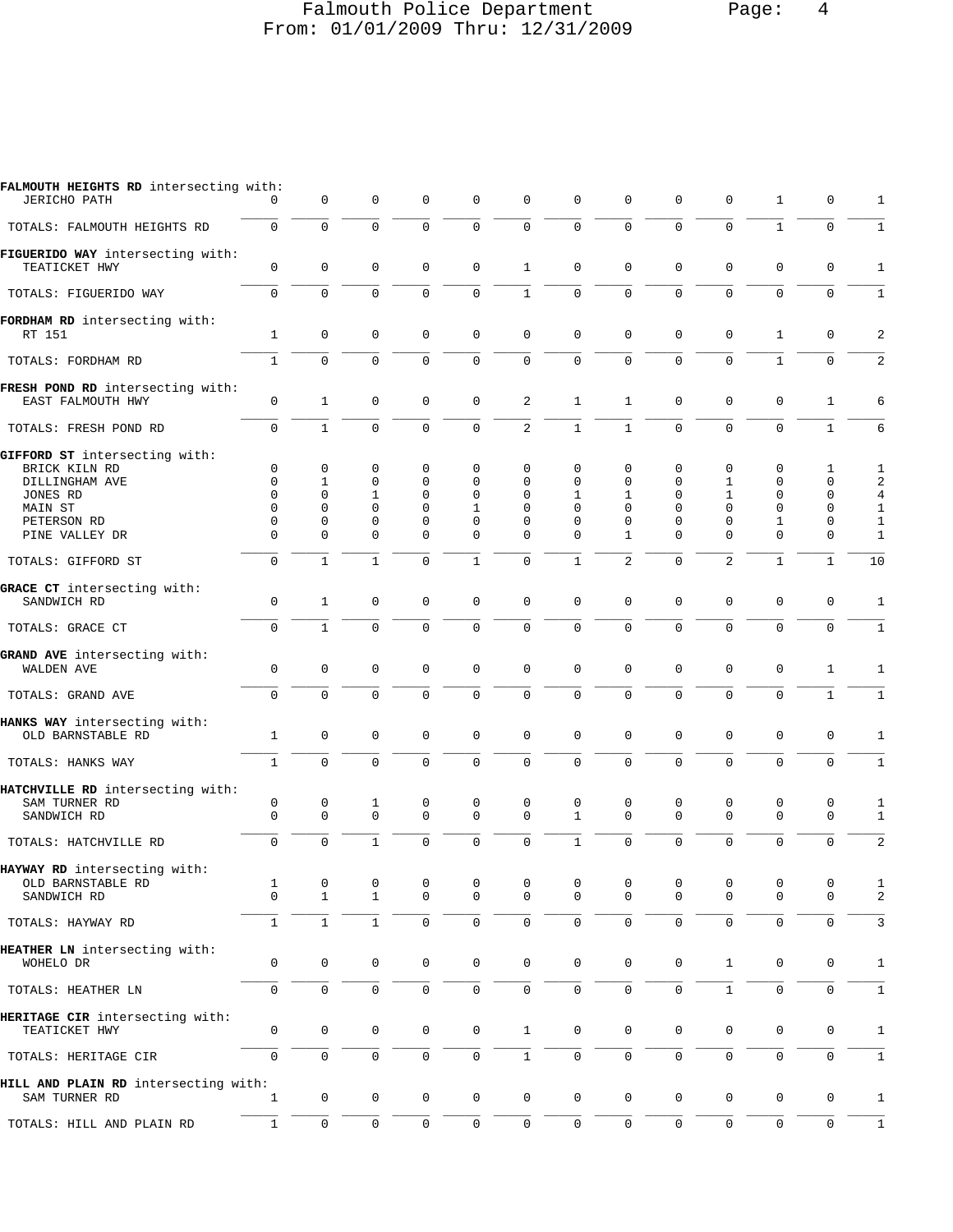# Falmouth Police Department Page: 4 From: 01/01/2009 Thru: 12/31/2009

| FALMOUTH HEIGHTS RD intersecting with:<br><b>JERICHO PATH</b>                                                            | $\Omega$                                                                               | 0                                                                                      | 0                                                                                | $\mathbf 0$                                                                  | $\mathbf 0$                                                            | $\mathbf 0$                                                               | $\mathbf 0$                                                                   | 0                                                                                             | 0                                                           | $\mathbf 0$                                                                  | 1                                                                       | 0                                                                                      | 1                                                                        |
|--------------------------------------------------------------------------------------------------------------------------|----------------------------------------------------------------------------------------|----------------------------------------------------------------------------------------|----------------------------------------------------------------------------------|------------------------------------------------------------------------------|------------------------------------------------------------------------|---------------------------------------------------------------------------|-------------------------------------------------------------------------------|-----------------------------------------------------------------------------------------------|-------------------------------------------------------------|------------------------------------------------------------------------------|-------------------------------------------------------------------------|----------------------------------------------------------------------------------------|--------------------------------------------------------------------------|
| TOTALS: FALMOUTH HEIGHTS RD                                                                                              | $\mathbf 0$                                                                            | $\mathbf 0$                                                                            | $\mathbf 0$                                                                      | $\mathbf 0$                                                                  | $\Omega$                                                               | $\mathbf 0$                                                               | $\mathbf 0$                                                                   | $\mathbf 0$                                                                                   | $\Omega$                                                    | $\mathbf 0$                                                                  | $\mathbf{1}$                                                            | $\mathbf 0$                                                                            | 1                                                                        |
| FIGUERIDO WAY intersecting with:<br>TEATICKET HWY                                                                        | $\mathsf{O}\xspace$                                                                    | $\mathbf 0$                                                                            | $\mathbf 0$                                                                      | $\mathbf 0$                                                                  | $\mathbf 0$                                                            | $\mathbf{1}$                                                              | $\mathbf 0$                                                                   | $\mathbf 0$                                                                                   | $\mathbf 0$                                                 | $\mathbf 0$                                                                  | $\mathbf 0$                                                             | $\mathbf 0$                                                                            | $\mathbf{1}$                                                             |
| TOTALS: FIGUERIDO WAY                                                                                                    | $\mathbf 0$                                                                            | $\mathbf 0$                                                                            | $\mathbf 0$                                                                      | $\mathbf 0$                                                                  | $\mathbf 0$                                                            | $\mathbf{1}$                                                              | $\mathbf 0$                                                                   | $\mathbf 0$                                                                                   | $\mathbf 0$                                                 | $\mathbf 0$                                                                  | $\mathbf 0$                                                             | $\mathbf 0$                                                                            | 1                                                                        |
| FORDHAM RD intersecting with:<br>RT 151                                                                                  | $\mathbf{1}$                                                                           | $\mathbf 0$                                                                            | $\mathbf 0$                                                                      | $\mathbf 0$                                                                  | $\mathbf 0$                                                            | $\mathbf 0$                                                               | $\mathbf 0$                                                                   | $\mathbf 0$                                                                                   | $\mathbf 0$                                                 | $\mathbf 0$                                                                  | 1                                                                       | 0                                                                                      | $\overline{2}$                                                           |
| TOTALS: FORDHAM RD                                                                                                       | $\mathbf{1}$                                                                           | $\Omega$                                                                               | $\Omega$                                                                         | $\Omega$                                                                     | $\mathbf 0$                                                            | $\mathbf 0$                                                               | $\mathsf{O}$                                                                  | $\mathbf 0$                                                                                   | $\Omega$                                                    | $\mathbf 0$                                                                  | $\mathbf{1}$                                                            | $\mathbf 0$                                                                            | 2                                                                        |
| FRESH POND RD intersecting with:<br>EAST FALMOUTH HWY                                                                    | $\mathbf 0$                                                                            | $\mathbf{1}$                                                                           | 0                                                                                | 0                                                                            | $\mathbf 0$                                                            | 2                                                                         | $\mathbf{1}$                                                                  | $\mathbf{1}$                                                                                  | 0                                                           | $\mathbf 0$                                                                  | 0                                                                       | 1                                                                                      | 6                                                                        |
| TOTALS: FRESH POND RD                                                                                                    | $\mathbf 0$                                                                            | $\mathbf{1}$                                                                           | $\Omega$                                                                         | $\Omega$                                                                     | $\mathbf 0$                                                            | $\overline{a}$                                                            | $\mathbf{1}$                                                                  | $\mathbf{1}$                                                                                  | $\Omega$                                                    | $\Omega$                                                                     | $\mathbf 0$                                                             | $\mathbf{1}$                                                                           | 6                                                                        |
| GIFFORD ST intersecting with:<br>BRICK KILN RD<br>DILLINGHAM AVE<br>JONES RD<br>MAIN ST<br>PETERSON RD<br>PINE VALLEY DR | $\mathbf 0$<br>$\Omega$<br>$\Omega$<br>$\Omega$<br>$\mathbf 0$<br>$\Omega$<br>$\Omega$ | $\mathbf 0$<br>1<br>$\mathbf 0$<br>$\Omega$<br>$\mathbf 0$<br>$\Omega$<br>$\mathbf{1}$ | 0<br>0<br>$\mathbf{1}$<br>$\mathbf 0$<br>$\mathbf 0$<br>$\Omega$<br>$\mathbf{1}$ | $\Omega$<br>$\Omega$<br>$\Omega$<br>$\mathbf 0$<br>0<br>$\Omega$<br>$\Omega$ | $\Omega$<br>0<br>$\Omega$<br>1<br>$\Omega$<br>$\Omega$<br>$\mathbf{1}$ | 0<br>$\Omega$<br>$\Omega$<br>$\Omega$<br>$\Omega$<br>$\Omega$<br>$\Omega$ | $\Omega$<br>$\Omega$<br>1<br>$\Omega$<br>$\Omega$<br>$\Omega$<br>$\mathbf{1}$ | 0<br>$\mathbf 0$<br>$\mathbf{1}$<br>$\Omega$<br>$\mathbf 0$<br>$\mathbf{1}$<br>$\overline{a}$ | $\Omega$<br>0<br>$\Omega$<br>0<br>0<br>$\Omega$<br>$\Omega$ | $\Omega$<br>1<br>$\mathbf{1}$<br>$\Omega$<br>0<br>$\Omega$<br>$\overline{2}$ | 0<br>$\Omega$<br>$\Omega$<br>$\mathbf 0$<br>$\mathbf 1$<br>$\mathbf{0}$ | 1<br>$\Omega$<br>$\mathbf 0$<br>$\Omega$<br>$\mathbf 0$<br>$\mathbf 0$<br>$\mathbf{1}$ | 1<br>2<br>$\overline{4}$<br>$\mathbf{1}$<br>$\mathbf{1}$<br>$\mathbf{1}$ |
| TOTALS: GIFFORD ST                                                                                                       |                                                                                        |                                                                                        |                                                                                  |                                                                              |                                                                        |                                                                           |                                                                               |                                                                                               |                                                             |                                                                              | $\mathbf{1}$                                                            |                                                                                        | 10                                                                       |
| GRACE CT intersecting with:<br>SANDWICH RD                                                                               | $\mathsf{O}\xspace$                                                                    | $\mathbf{1}$                                                                           | $\mathbf 0$                                                                      | $\mathbf 0$                                                                  | $\mathbf 0$                                                            | $\mathbf 0$                                                               | $\mathbf 0$                                                                   | $\mathbf 0$                                                                                   | $\mathbf 0$                                                 | $\mathbf 0$                                                                  | $\mathbf 0$                                                             | $\mathbf 0$                                                                            | $\mathbf{1}$                                                             |
| TOTALS: GRACE CT                                                                                                         | $\mathbf 0$                                                                            | $\mathbf{1}$                                                                           | $\mathbf 0$                                                                      | $\mathbf 0$                                                                  | $\mathbf 0$                                                            | $\mathbf 0$                                                               | $\mathsf{O}$                                                                  | $\mathbf 0$                                                                                   | $\mathbf 0$                                                 | $\mathbf 0$                                                                  | $\mathbf 0$                                                             | $\mathbf 0$                                                                            | 1                                                                        |
| GRAND AVE intersecting with:<br>WALDEN AVE                                                                               | $\mathbf 0$                                                                            | $\mathbf 0$                                                                            | $\mathbf 0$                                                                      | $\mathbf 0$                                                                  | $\mathbf 0$                                                            | $\mathbf 0$                                                               | $\mathbf 0$                                                                   | $\mathbf 0$                                                                                   | $\mathbf 0$                                                 | $\mathbf 0$                                                                  | $\mathbf 0$                                                             | 1                                                                                      | 1                                                                        |
| TOTALS: GRAND AVE                                                                                                        | $\mathbf 0$                                                                            | $\mathbf 0$                                                                            | $\mathbf 0$                                                                      | $\mathbf 0$                                                                  | $\mathbf 0$                                                            | $\mathbf 0$                                                               | $\mathbf 0$                                                                   | $\mathbf 0$                                                                                   | $\mathbf 0$                                                 | $\mathbf 0$                                                                  | $\mathbf 0$                                                             | $\mathbf{1}$                                                                           | $\mathbf{1}$                                                             |
| HANKS WAY intersecting with:<br>OLD BARNSTABLE RD                                                                        | $\mathbf{1}$                                                                           | $\mathbf 0$                                                                            | $\mathbf 0$                                                                      | $\mathbf 0$                                                                  | $\mathbf 0$                                                            | $\mathbf 0$                                                               | $\mathbf 0$                                                                   | $\mathbf 0$                                                                                   | $\mathbf 0$                                                 | $\mathbf 0$                                                                  | 0                                                                       | $\mathbf 0$                                                                            | 1                                                                        |
| TOTALS: HANKS WAY                                                                                                        | $\mathbf{1}$                                                                           | $\Omega$                                                                               | $\Omega$                                                                         | $\Omega$                                                                     | $\Omega$                                                               | $\Omega$                                                                  | $\Omega$                                                                      | $\Omega$                                                                                      | $\Omega$                                                    | $\Omega$                                                                     | $\Omega$                                                                | $\mathbf 0$                                                                            | 1                                                                        |
| HATCHVILLE RD intersecting with:<br>SAM TURNER RD<br>SANDWICH RD<br>TOTALS: HATCHVILLE RD                                | 0<br>$\mathbf 0$<br>$\mathbf 0$                                                        | 0<br>$\mathbf 0$<br>$\mathbf 0$                                                        | 1<br>$\mathbf 0$<br>$\mathbf{1}$                                                 | 0<br>$\mathbf 0$<br>$\Omega$                                                 | 0<br>$\mathbf 0$<br>$\Omega$                                           | 0<br>$\Omega$<br>0                                                        | 0<br>$\mathbf{1}$<br>$\mathbf{1}$                                             | 0<br>$\Omega$<br>0                                                                            | 0<br>$\Omega$<br>$\mathbf 0$                                | 0<br>$\mathbf 0$<br>$\mathbf 0$                                              | 0<br>0<br>$\mathbf{0}$                                                  | 0<br>0<br>$\mathbf 0$                                                                  | 1<br>1<br>2                                                              |
| HAYWAY RD intersecting with:<br>OLD BARNSTABLE RD<br>SANDWICH RD                                                         | $\mathbf{1}$<br>$\mathbf 0$                                                            | $\mathsf 0$<br>$\mathbf{1}$                                                            | $\mathsf 0$<br>$\mathbf{1}$                                                      | $\mathsf 0$<br>$\mathbf 0$                                                   | 0<br>$\mathbf 0$                                                       | 0<br>$\mathbf 0$                                                          | 0<br>$\Omega$                                                                 | $\mathsf 0$<br>$\mathbf 0$                                                                    | 0<br>0                                                      | 0<br>$\mathbf 0$                                                             | $\mathsf 0$<br>$\mathbf 0$                                              | 0<br>$\mathbf 0$                                                                       | 1<br>$\overline{a}$                                                      |
| TOTALS: HAYWAY RD                                                                                                        | $\mathbf{1}$                                                                           | $\mathbf{1}$                                                                           | $\mathbf{1}$                                                                     | 0                                                                            | $\mathbf 0$                                                            | $\mathbf 0$                                                               | $\mathbf 0$                                                                   | $\mathbf 0$                                                                                   | $\mathbf 0$                                                 | $\mathsf 0$                                                                  | $\mathbf 0$                                                             | $\mathbf 0$                                                                            | 3                                                                        |
| HEATHER LN intersecting with:<br>WOHELO DR                                                                               | $\mathbf 0$                                                                            | 0                                                                                      | $\mathbf 0$                                                                      | $\mathbf 0$                                                                  | $\mathsf{O}\xspace$                                                    | 0                                                                         | $\mathsf 0$                                                                   | $\mathsf 0$                                                                                   | $\mathbf 0$                                                 | $\mathbf{1}$                                                                 | 0                                                                       | 0                                                                                      | $\mathbf{1}$                                                             |
| TOTALS: HEATHER LN                                                                                                       | $\mathsf 0$                                                                            | $\mathsf 0$                                                                            | $\mathsf{O}\xspace$                                                              | 0                                                                            | $\mathsf{O}\xspace$                                                    | $\mathsf 0$                                                               | $\mathsf{O}$                                                                  | $\mathsf{O}\xspace$                                                                           | $\mathsf{O}\xspace$                                         | $\mathbf{1}$                                                                 | $\mathbf 0$                                                             | $\mathsf{O}\xspace$                                                                    | $\mathbf{1}$                                                             |
| HERITAGE CIR intersecting with:<br>TEATICKET HWY                                                                         | $\mathbf 0$                                                                            | 0                                                                                      | 0                                                                                | 0                                                                            | $\mathsf{O}\xspace$                                                    | $\mathbf{1}$                                                              | $\mathsf 0$                                                                   | 0                                                                                             | $\mathbf 0$                                                 | $\mathsf{O}\xspace$                                                          | $\mathbf 0$                                                             | 0                                                                                      | $\mathbf{1}$                                                             |
| TOTALS: HERITAGE CIR                                                                                                     | $\mathbf 0$                                                                            | 0                                                                                      | 0                                                                                | 0                                                                            | 0                                                                      | $\mathbf{1}$                                                              | 0                                                                             | 0                                                                                             | $\mathbf 0$                                                 | 0                                                                            | 0                                                                       | $\mathbf 0$                                                                            | 1                                                                        |
| HILL AND PLAIN RD intersecting with:<br>SAM TURNER RD                                                                    | $\mathbf{1}$                                                                           | $\mathbf 0$                                                                            | $\mathsf{O}\xspace$                                                              | $\mathsf{O}\xspace$                                                          | $\mathsf{O}\xspace$                                                    | $\mathsf 0$                                                               | $\mathbf 0$                                                                   | 0                                                                                             | 0                                                           | $\mathbf 0$                                                                  | 0                                                                       | $\mathbf 0$                                                                            | $\mathbf{1}$                                                             |
| TOTALS: HILL AND PLAIN RD                                                                                                | $1\,$                                                                                  | $\mathsf 0$                                                                            | $\mathsf{O}\xspace$                                                              | $\mathsf{O}\xspace$                                                          | $\mathsf{O}\xspace$                                                    | $\mathsf 0$                                                               | 0                                                                             | $\mathsf 0$                                                                                   | $\mathsf{O}\xspace$                                         | $\mathsf 0$                                                                  | $\mathsf{O}\xspace$                                                     | $\mathbf 0$                                                                            | $\mathbf{1}$                                                             |
|                                                                                                                          |                                                                                        |                                                                                        |                                                                                  |                                                                              |                                                                        |                                                                           |                                                                               |                                                                                               |                                                             |                                                                              |                                                                         |                                                                                        |                                                                          |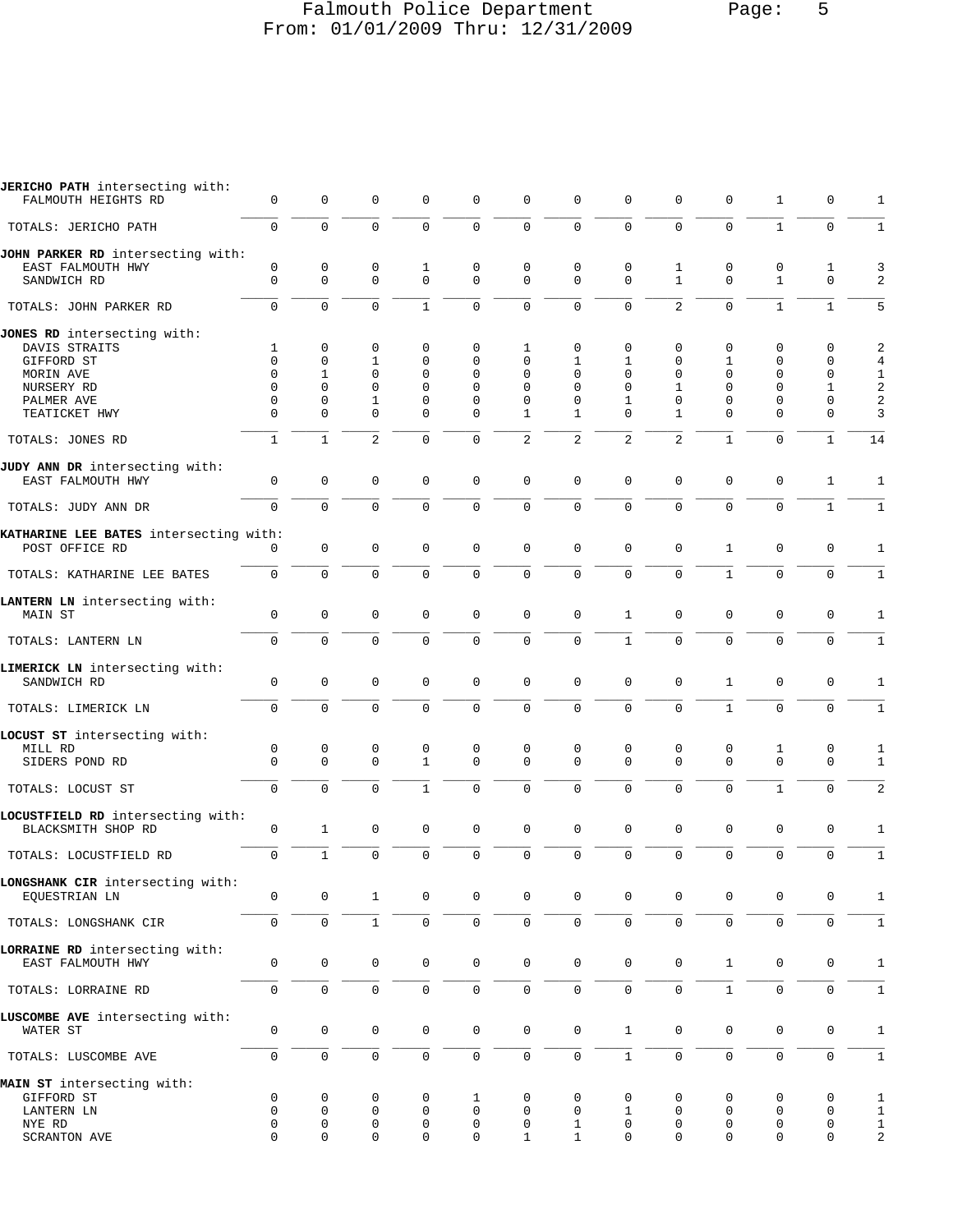#### Falmouth Police Department Page: 5 From: 01/01/2009 Thru: 12/31/2009

| JERICHO PATH intersecting with:<br>FALMOUTH HEIGHTS RD   | 0            | 0            | 0              | 0            | 0            | $\mathbf 0$         | $\mathbf{0}$        | $\mathbf 0$         | 0              | 0            | 1                   | 0            | 1                 |
|----------------------------------------------------------|--------------|--------------|----------------|--------------|--------------|---------------------|---------------------|---------------------|----------------|--------------|---------------------|--------------|-------------------|
| TOTALS: JERICHO PATH                                     | 0            | 0            | 0              | $\mathbf 0$  | $\mathbf 0$  | $\mathbf 0$         | $\mathbf{0}$        | 0                   | $\mathbf 0$    | $\mathbf 0$  | $\mathbf{1}$        | $\mathbf 0$  | $\mathbf{1}$      |
| JOHN PARKER RD intersecting with:                        |              |              |                |              |              |                     |                     |                     |                |              |                     |              |                   |
| EAST FALMOUTH HWY                                        | 0            | 0            | 0              | 1            | 0            | 0                   | 0                   | 0                   | 1              | 0            | 0                   | 1            | 3                 |
| SANDWICH RD                                              | $\Omega$     | $\Omega$     | $\Omega$       | $\Omega$     | $\Omega$     | $\mathbf 0$         | $\Omega$            | $\Omega$            | $\mathbf{1}$   | $\Omega$     | $\mathbf{1}$        | $\mathbf 0$  | 2                 |
| TOTALS: JOHN PARKER RD                                   | 0            | $\mathbf 0$  | $\mathbf 0$    | $\mathbf{1}$ | 0            | $\mathsf 0$         | $\mathbf 0$         | $\Omega$            | $\overline{a}$ | $\mathbf 0$  | $\mathbf{1}$        | $\mathbf{1}$ | 5                 |
| JONES RD intersecting with:                              |              |              |                |              |              |                     |                     |                     |                |              |                     |              |                   |
| DAVIS STRAITS                                            | 1            | 0            | 0              | 0            | 0            | 1                   | $\mathbf 0$         | 0                   | 0              | 0            | 0                   | 0            | 2                 |
| GIFFORD ST                                               | $\Omega$     | 0            | $\mathbf{1}$   | 0            | 0            | 0                   | 1                   | 1                   | $\mathbf 0$    | 1            | 0                   | 0            | $\overline{4}$    |
| MORIN AVE                                                | $\Omega$     | 1            | $\Omega$       | $\Omega$     | $\Omega$     | $\Omega$            | $\Omega$            | $\Omega$            | $\Omega$       | $\Omega$     | $\Omega$            | 0            | $\mathbf{1}$      |
| NURSERY RD                                               | O            | $\Omega$     | 0              | $\Omega$     | $\Omega$     | $\Omega$            | $\Omega$            | $\Omega$            | $\mathbf{1}$   | $\Omega$     | $\Omega$            | 1            | 2                 |
| PALMER AVE                                               | 0            | 0            | 1              | 0            | 0            | 0                   | 0                   | 1                   | 0              | 0            | 0                   | 0            | 2                 |
| TEATICKET HWY                                            | 0            | 0            | 0              | 0            | 0            | 1                   | 1                   | $\Omega$            | 1              | 0            | 0                   | 0            | 3                 |
| TOTALS: JONES RD                                         | $\mathbf{1}$ | $\mathbf{1}$ | $\overline{c}$ | $\mathbf 0$  | 0            | $\overline{c}$      | $\overline{2}$      | 2                   | $\overline{c}$ | $\mathbf{1}$ | $\mathbf 0$         | $\mathbf{1}$ | 14                |
| JUDY ANN DR intersecting with:                           |              |              |                |              |              |                     |                     |                     |                |              |                     |              |                   |
| EAST FALMOUTH HWY                                        | 0            | 0            | 0              | $\mathbf 0$  | 0            | $\mathsf{O}\xspace$ | $\mathbf{0}$        | $\mathbf 0$         | 0              | $\mathbf 0$  | $\mathbf{0}$        | $\mathbf{1}$ | 1                 |
| TOTALS: JUDY ANN DR                                      | 0            | $\mathbf 0$  | 0              | $\mathbf 0$  | 0            | $\mathbf 0$         | $\mathbf 0$         | $\mathbf{0}$        | $\mathbf 0$    | $\mathbf 0$  | $\mathbf{0}$        | $\mathbf{1}$ | $\mathbf{1}$      |
|                                                          |              |              |                |              |              |                     |                     |                     |                |              |                     |              |                   |
| KATHARINE LEE BATES intersecting with:<br>POST OFFICE RD | 0            | $\mathbf 0$  | $\mathbf 0$    | $\mathbf 0$  | 0            | $\mathbf 0$         | $\mathbf 0$         | $\mathbf 0$         | $\mathbf 0$    | $\mathbf{1}$ | $\mathbf 0$         | $\mathbf 0$  | 1                 |
|                                                          |              |              |                |              |              |                     |                     |                     |                |              |                     |              |                   |
| TOTALS: KATHARINE LEE BATES                              | 0            | 0            | 0              | 0            | 0            | $\mathbf 0$         | $\mathbf 0$         | 0                   | $\mathbf 0$    | $\mathbf{1}$ | $\mathbf 0$         | $\mathbf 0$  | 1                 |
| LANTERN LN intersecting with:                            |              |              |                |              |              |                     |                     |                     |                |              |                     |              |                   |
| MAIN ST                                                  | 0            | 0            | 0              | 0            | 0            | $\mathsf 0$         | $\mathbf 0$         | 1                   | 0              | $\mathbf 0$  | $\mathbf 0$         | 0            | 1                 |
| TOTALS: LANTERN LN                                       | 0            | $\mathbf 0$  | $\mathbf 0$    | $\mathbf 0$  | 0            | $\mathbf 0$         | $\mathbf 0$         | $\mathbf{1}$        | $\mathbf 0$    | $\mathbf 0$  | $\mathbf 0$         | $\mathbf 0$  | $\mathbf{1}$      |
|                                                          |              |              |                |              |              |                     |                     |                     |                |              |                     |              |                   |
| LIMERICK LN intersecting with:                           |              | 0            | 0              | $\mathbf 0$  |              | 0                   | $\mathbf 0$         | $\mathbf 0$         | 0              | $\mathbf{1}$ | $\mathsf 0$         | 0            |                   |
| SANDWICH RD                                              | 0            |              |                |              | 0            |                     |                     |                     |                |              |                     |              | 1                 |
| TOTALS: LIMERICK LN                                      | 0            | $\Omega$     | 0              | $\Omega$     | 0            | $\mathbf 0$         | $\mathbf{0}$        | $\Omega$            | $\Omega$       | $\mathbf{1}$ | $\Omega$            | $\mathbf 0$  | 1                 |
| LOCUST ST intersecting with:                             |              |              |                |              |              |                     |                     |                     |                |              |                     |              |                   |
| MILL RD                                                  | 0            | 0            | 0              | 0            | 0            | 0                   | $\mathbf 0$         | 0                   | 0              | 0            | 1                   | 0            | 1                 |
| SIDERS POND RD                                           | $\Omega$     | $\Omega$     | 0              | $\mathbf{1}$ | $\Omega$     | $\mathbf 0$         | $\Omega$            | $\Omega$            | $\Omega$       | $\Omega$     | $\mathbf 0$         | $\mathbf 0$  | $\mathbf{1}$      |
|                                                          |              |              |                |              |              |                     |                     |                     |                |              |                     |              |                   |
| TOTALS: LOCUST ST                                        | 0            | $\mathbf 0$  | 0              | $\mathbf{1}$ | $\mathbf 0$  | $\mathbf 0$         | $\mathbf{0}$        | 0                   | $\mathbf 0$    | $\mathbf 0$  | $\mathbf{1}$        | $\mathbf 0$  | $\overline{c}$    |
| LOCUSTFIELD RD intersecting with:                        |              |              |                |              |              |                     |                     |                     |                |              |                     |              |                   |
| BLACKSMITH SHOP RD                                       | 0            | $\mathbf{1}$ | 0              | $\mathbf 0$  | 0            | $\mathbf 0$         | $\mathbf 0$         | $\mathbf 0$         | $\mathsf 0$    | 0            | $\mathsf 0$         | 0            | 1                 |
| TOTALS: LOCUSTFIELD RD                                   | 0            | $\mathbf{1}$ | $\mathbf 0$    | $\mathbf 0$  | $\mathbf 0$  | $\mathbf 0$         | $\mathbf{0}$        | $\mathbf 0$         | $\mathbf 0$    | $\mathbf 0$  | $\mathbf 0$         | $\mathbf 0$  | $\mathbf{1}$      |
| LONGSHANK CIR intersecting with:                         |              |              |                |              |              |                     |                     |                     |                |              |                     |              |                   |
| EOUESTRIAN LN                                            | 0            | 0            | $\mathbf{1}$   | 0            | 0            | $\mathbf 0$         | $\mathbf{0}$        | $\Omega$            | 0              | 0            | 0                   | 0            | 1                 |
| TOTALS: LONGSHANK CIR                                    | 0            | $\mathsf 0$  | $\mathbf{1}$   | $\mathbf 0$  | 0            | $\mathsf{O}\xspace$ | $\mathsf{O}\xspace$ | $\mathbf 0$         | $\mathbf 0$    | $\mathbf 0$  | $\mathsf{O}\xspace$ | $\mathbf 0$  | $\mathbf{1}$      |
|                                                          |              |              |                |              |              |                     |                     |                     |                |              |                     |              |                   |
| LORRAINE RD intersecting with:                           | 0            | 0            | $\mathsf 0$    | $\mathbf 0$  |              | $\mathsf{O}\xspace$ | $\mathsf 0$         | $\mathsf{O}\xspace$ | 0              | $\mathbf{1}$ | $\mathbf 0$         | $\mathbf 0$  |                   |
| EAST FALMOUTH HWY                                        |              |              |                |              | 0            |                     |                     |                     |                |              |                     |              | $\mathbf{1}$      |
| TOTALS: LORRAINE RD                                      | 0            | 0            | 0              | $\mathsf{O}$ | 0            | $\mathsf{O}\xspace$ | $\mathsf{O}\xspace$ | 0                   | 0              | $\mathbf 1$  | $\mathsf 0$         | 0            | $1\,$             |
| LUSCOMBE AVE intersecting with:                          |              |              |                |              |              |                     |                     |                     |                |              |                     |              |                   |
| WATER ST                                                 | 0            | 0            | $\mathbf 0$    | 0            | $\mathsf{0}$ | $\mathsf 0$         | $\mathbf 0$         | $\mathbf{1}$        | $\mathsf 0$    | 0            | $\mathbf 0$         | $\mathbf 0$  | $\mathbf 1$       |
| TOTALS: LUSCOMBE AVE                                     | 0            | $\mathsf{O}$ | $\mathsf 0$    | 0            | 0            | $\mathsf{O}\xspace$ | $\mathsf{O}\xspace$ | $\mathbf{1}$        | 0              | 0            | $\mathsf 0$         | 0            | $\mathbf{1}$      |
|                                                          |              |              |                |              |              |                     |                     |                     |                |              |                     |              |                   |
| MAIN ST intersecting with:<br>GIFFORD ST                 | 0            | 0            | 0              | 0            | 1            | 0                   | 0                   | 0                   | 0              | 0            | 0                   | 0            |                   |
| LANTERN LN                                               | $\Omega$     | 0            | 0              | $\mathbf 0$  | 0            | 0                   | $\mathsf 0$         | 1                   | 0              | 0            | $\mathbf 0$         | 0            | 1<br>$\mathbf{1}$ |
| NYE RD                                                   | 0            | 0            | 0              | $\mathbf 0$  | 0            | $\mathbf 0$         | $\mathbf{1}$        | $\mathbf 0$         | $\mathsf 0$    | 0            | $\mathsf 0$         | $\mathbf 0$  | $\mathbf{1}$      |
| <b>SCRANTON AVE</b>                                      | 0            | 0            | 0              | 0            | 0            | 1                   | 1                   | 0                   | 0              | 0            | 0                   | 0            | $\overline{a}$    |
|                                                          |              |              |                |              |              |                     |                     |                     |                |              |                     |              |                   |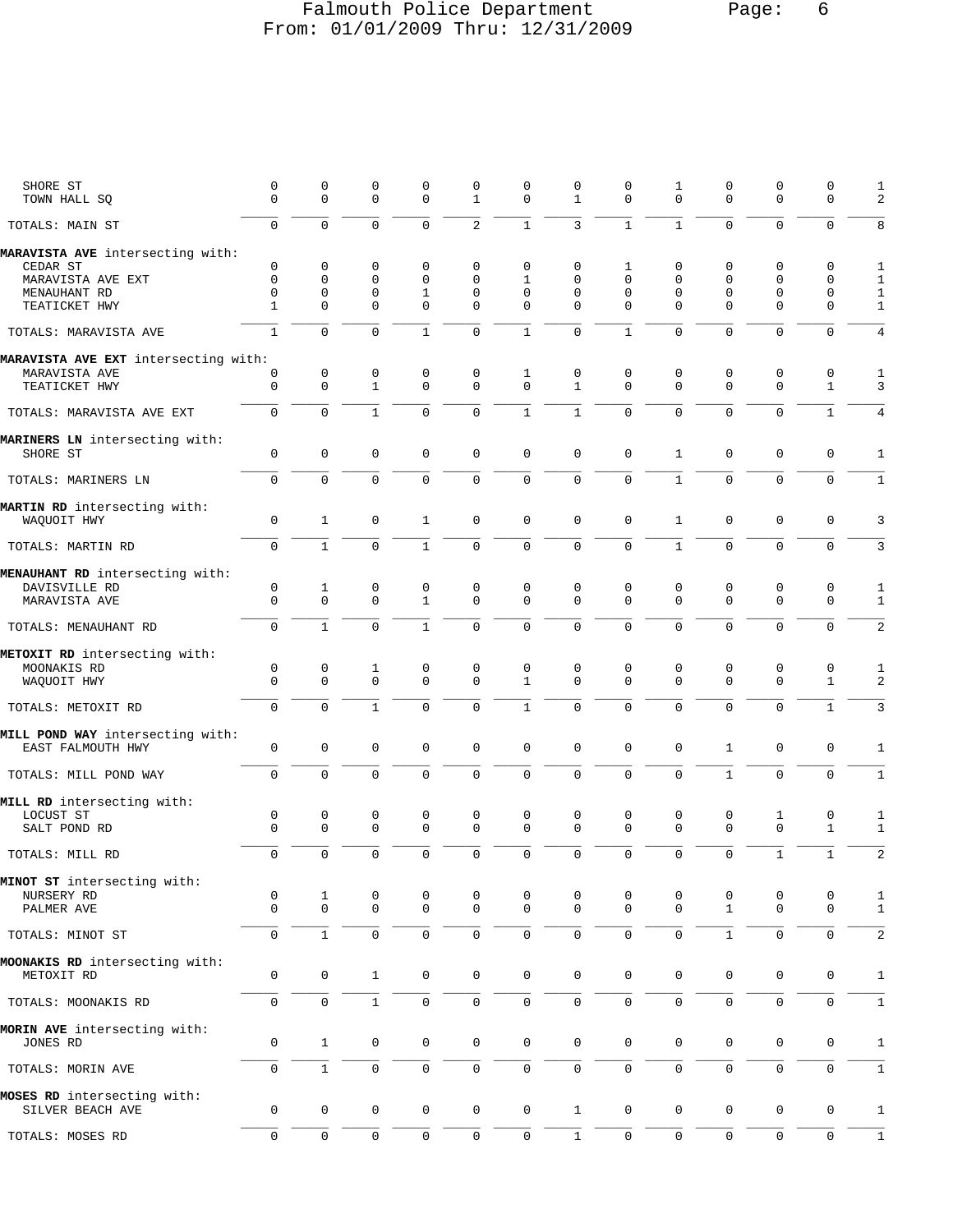# Falmouth Police Department Page: 6 From: 01/01/2009 Thru: 12/31/2009

| SHORE ST<br>TOWN HALL SQ             | $\mathsf 0$<br>$\mathbf 0$ | 0<br>0              | 0<br>$\mathbf 0$ | 0<br>$\mathbf 0$ | 0<br>$\mathbf{1}$   | 0<br>$\mathbf 0$    | $\mathbf 0$<br>$\mathbf{1}$ | 0<br>0       | 1<br>$\mathbf 0$    | 0<br>$\mathbf 0$    | $\mathbf 0$<br>$\mathbf 0$ | 0<br>0              | 1<br>2         |
|--------------------------------------|----------------------------|---------------------|------------------|------------------|---------------------|---------------------|-----------------------------|--------------|---------------------|---------------------|----------------------------|---------------------|----------------|
| TOTALS: MAIN ST                      | $\mathsf{O}$               | 0                   | $\mathbf 0$      | $\Omega$         | 2                   | $\mathbf{1}$        | $\overline{3}$              | $\mathbf{1}$ | $\mathbf{1}$        | $\mathbf{0}$        | 0                          | 0                   | 8              |
| MARAVISTA AVE intersecting with:     |                            |                     |                  |                  |                     |                     |                             |              |                     |                     |                            |                     |                |
| CEDAR ST                             | 0                          | 0                   | 0                | $\mathbf 0$      | 0                   | 0                   | 0                           | 1            | 0                   | 0                   | $\mathbf 0$                | 0                   | 1              |
| MARAVISTA AVE EXT                    | 0                          | 0                   | $\mathbf 0$      | $\mathbf 0$      | $\Omega$            | 1                   | $\mathbf 0$                 | $\Omega$     | $\mathbf 0$         | $\mathbf 0$         | $\mathbf 0$                | 0                   | 1              |
| MENAUHANT RD                         | 0                          | 0                   | $\mathbf 0$      | 1                | 0                   | 0                   | $\mathbf 0$                 | $\mathbf 0$  | 0                   | $\mathbf 0$         | 0                          | 0                   | $1\,$          |
| TEATICKET HWY                        | $\mathbf{1}$               | 0                   | $\mathbf 0$      | $\mathbf 0$      | $\mathbf{0}$        | 0                   | $\Omega$                    | $\Omega$     | 0                   | $\mathbf 0$         | $\mathbf 0$                | $\mathbf 0$         | $\mathbf{1}$   |
| TOTALS: MARAVISTA AVE                | 1                          | $\mathbf 0$         | $\mathbf 0$      | $\mathbf{1}$     | $\mathbf 0$         | $\mathbf{1}$        | $\mathbf 0$                 | $\mathbf{1}$ | $\Omega$            | $\mathbf 0$         | $\mathbf 0$                | 0                   | 4              |
| MARAVISTA AVE EXT intersecting with: |                            |                     |                  |                  |                     |                     |                             |              |                     |                     |                            |                     |                |
| MARAVISTA AVE                        | 0                          | $\mathsf 0$         | 0                | 0                | 0                   | 1                   | 0                           | $\mathbf 0$  | 0                   | 0                   | $\mathbf 0$                | $\mathbf 0$         | $1\,$          |
| TEATICKET HWY                        | 0                          | $\mathbf 0$         | $\mathbf{1}$     | $\mathbf 0$      | $\mathbf{0}$        | $\mathbf 0$         | $\mathbf{1}$                | $\mathbf 0$  | $\mathbf 0$         | $\mathbf 0$         | $\mathbf 0$                | $\mathbf{1}$        | 3              |
| TOTALS: MARAVISTA AVE EXT            | $\mathbf 0$                | $\mathbf 0$         | $\mathbf{1}$     | $\mathbf 0$      | $\mathbf 0$         | $\mathbf{1}$        | $\mathbf{1}$                | 0            | $\mathbf 0$         | $\mathbf 0$         | 0                          | $\mathbf{1}$        | $\overline{4}$ |
| MARINERS LN intersecting with:       |                            | $\mathsf 0$         |                  |                  |                     |                     |                             |              | $\mathbf{1}$        | $\mathbf 0$         | $\mathbf 0$                |                     | $\mathbf{1}$   |
| SHORE ST                             | 0                          |                     | $\mathbf 0$      | 0                | $\mathsf 0$         | $\mathbf 0$         | $\mathbf 0$                 | $\mathbf 0$  |                     |                     |                            | $\mathbf 0$         |                |
| TOTALS: MARINERS LN                  | 0                          | 0                   | $\mathbf 0$      | $\mathbf{0}$     | $\mathbf 0$         | $\mathbf 0$         | $\mathbf 0$                 | 0            | $\mathbf{1}$        | $\mathbf 0$         | $\mathbf 0$                | 0                   | $\mathbf{1}$   |
| MARTIN RD intersecting with:         |                            |                     |                  |                  |                     |                     |                             |              |                     |                     |                            |                     |                |
| WAQUOIT HWY                          | 0                          | $\mathbf{1}$        | $\mathbf 0$      | 1                | 0                   | $\mathbf 0$         | $\mathbf 0$                 | $\mathbf 0$  | 1                   | $\mathbf 0$         | $\mathbf 0$                | 0                   | 3              |
| TOTALS: MARTIN RD                    | $\mathbf 0$                | $\mathbf{1}$        | $\mathbf 0$      | $\mathbf{1}$     | $\mathbf{0}$        | $\mathbf 0$         | $\mathsf{O}\xspace$         | 0            | $\mathbf{1}$        | $\mathbf 0$         | $\mathbf 0$                | 0                   | 3              |
| MENAUHANT RD intersecting with:      |                            |                     |                  |                  |                     |                     |                             |              |                     |                     |                            |                     |                |
| DAVISVILLE RD                        | 0                          | $1\,$               | 0                | 0                | 0                   | 0                   | 0                           | 0            | 0                   | 0                   | 0                          | 0                   | 1              |
| MARAVISTA AVE                        | $\mathbf 0$                | $\mathbf 0$         | $\mathbf 0$      | $\mathbf{1}$     | $\mathbf{0}$        | $\mathbf 0$         | $\mathbf 0$                 | $\mathbf 0$  | $\mathbf 0$         | $\mathbf 0$         | $\mathbf 0$                | $\mathbf 0$         | $\mathbf{1}$   |
| TOTALS: MENAUHANT RD                 | $\mathsf{O}$               | $\mathbf{1}$        | $\mathbf 0$      | $\mathbf{1}$     | $\mathbf 0$         | $\mathbf 0$         | $\mathbf 0$                 | 0            | $\mathbf 0$         | $\mathbf 0$         | $\mathbf 0$                | $\mathbf 0$         | $\overline{2}$ |
|                                      |                            |                     |                  |                  |                     |                     |                             |              |                     |                     |                            |                     |                |
| METOXIT RD intersecting with:        |                            |                     |                  |                  |                     |                     |                             |              |                     |                     |                            |                     |                |
| MOONAKIS RD                          | 0                          | 0                   | $\mathbf 1$      | 0                | 0                   | 0                   | 0                           | 0            | 0                   | 0                   | 0                          | 0                   | $\mathbf{1}$   |
| WAQUOIT HWY                          | $\Omega$                   | $\mathbf{0}$        | $\mathbf 0$      | $\mathbf 0$      | $\mathbf{0}$        | $\mathbf{1}$        | $\mathbf 0$                 | $\Omega$     | $\mathbf 0$         | $\mathbf 0$         | $\mathbf 0$                | $\mathbf 1$         | 2              |
| TOTALS: METOXIT RD                   | $\mathbf 0$                | $\Omega$            | $\mathbf{1}$     | $\Omega$         | $\mathbf 0$         | $\mathbf{1}$        | $\mathbf 0$                 | $\Omega$     | $\Omega$            | $\mathbf 0$         | 0                          | $\mathbf{1}$        | 3              |
| MILL POND WAY intersecting with:     |                            |                     |                  |                  |                     |                     |                             |              |                     |                     |                            |                     |                |
| EAST FALMOUTH HWY                    | 0                          | $\mathsf 0$         | $\mathbf 0$      | 0                | $\mathsf 0$         | $\mathbf 0$         | $\mathbf 0$                 | $\mathbf 0$  | 0                   | $\mathbf{1}$        | $\mathsf 0$                | $\mathsf 0$         | 1              |
|                                      |                            |                     |                  |                  |                     |                     |                             |              |                     |                     |                            |                     |                |
| TOTALS: MILL POND WAY                | $\mathbf 0$                | $\mathbf 0$         | $\mathbf 0$      | $\mathbf 0$      | $\mathbf 0$         | $\mathsf{O}\xspace$ | $\mathsf{O}\xspace$         | 0            | $\mathbf 0$         | $\mathbf{1}$        | $\mathbf 0$                | $\mathbf 0$         | $1\,$          |
| MILL RD intersecting with:           |                            |                     |                  |                  |                     |                     |                             |              |                     |                     |                            |                     |                |
| LOCUST ST                            | 0                          | 0                   | 0                | 0                | 0                   | 0                   | 0                           | 0            | 0                   | 0                   | 1                          | 0                   | 1              |
| SALT POND RD                         | $\mathbf 0$                | $\mathbf 0$         | $\mathbf 0$      | 0                | $\mathbf 0$         | $\mathsf{O}\xspace$ | $\mathbf 0$                 | $\Omega$     | $\mathbf 0$         | $\mathbf 0$         | $\mathbf 0$                | $\mathbf{1}$        | $1\,$          |
|                                      |                            |                     |                  |                  |                     |                     |                             |              |                     |                     |                            |                     |                |
| TOTALS: MILL RD                      | 0                          | $\mathbf 0$         | $\mathbf 0$      | $\Omega$         | $\mathbf 0$         | $\mathbf 0$         | $\mathbf 0$                 | 0            | $\mathbf 0$         | $\mathbf 0$         | $\mathbf{1}$               | $\mathbf{1}$        | 2              |
| MINOT ST intersecting with:          |                            |                     |                  |                  |                     |                     |                             |              |                     |                     |                            |                     |                |
| NURSERY RD                           | 0                          | 1                   | 0                | 0                | 0                   | 0                   | 0                           | 0            | 0                   | 0                   | 0                          | 0                   | 1              |
| PALMER AVE                           | 0                          | 0                   | $\mathbf 0$      | 0                | $\mathsf 0$         | $\mathbf 0$         | $\mathbf 0$                 | $\mathbf 0$  | $\mathbf 0$         | $\mathbf{1}$        | 0                          | $\mathbf 0$         | $\mathbf{1}$   |
| TOTALS: MINOT ST                     | 0                          | $\mathbf{1}$        | $\mathsf 0$      | 0                | $\mathbf 0$         | $\mathsf{O}\xspace$ | $\mathsf{O}\xspace$         | $\mathbf 0$  | $\mathsf 0$         | $\mathbf 1$         | $\mathsf{O}\xspace$        | 0                   | $\sqrt{2}$     |
|                                      |                            |                     |                  |                  |                     |                     |                             |              |                     |                     |                            |                     |                |
| MOONAKIS RD intersecting with:       |                            |                     |                  |                  |                     |                     |                             |              |                     |                     |                            |                     |                |
| METOXIT RD                           | 0                          | 0                   | $\mathbf{1}$     | 0                | 0                   | $\mathsf{O}$        | $\mathsf{O}\xspace$         | $\mathbf 0$  | $\mathbf 0$         | $\mathbf 0$         | $\mathbf 0$                | 0                   | 1              |
|                                      |                            |                     |                  |                  |                     |                     |                             |              |                     |                     |                            |                     |                |
| TOTALS: MOONAKIS RD                  | 0                          | 0                   | $\mathbf 1$      | 0                | 0                   | $\mathbf 0$         | 0                           | $\mathsf 0$  | 0                   | $\mathbf 0$         | $\mathbf 0$                | $\mathbf 0$         | $\mathbf{1}$   |
| MORIN AVE intersecting with:         |                            |                     |                  |                  |                     |                     |                             |              |                     |                     |                            |                     |                |
| JONES RD                             | 0                          | $\mathbf{1}$        | $\mathbf 0$      | 0                | 0                   | $\mathbf 0$         | $\mathsf{O}\xspace$         | $\mathbf 0$  | 0                   | $\mathbf 0$         | $\mathbf 0$                | 0                   | 1              |
|                                      |                            |                     |                  |                  |                     |                     |                             |              |                     |                     |                            |                     |                |
| TOTALS: MORIN AVE                    | 0                          | $\mathbf{1}$        | $\mathsf 0$      | 0                | $\mathsf 0$         | $\mathsf{O}\xspace$ | $\mathsf 0$                 | 0            | $\mathbf 0$         | $\mathsf{O}\xspace$ | 0                          | 0                   | $\mathbf 1$    |
| MOSES RD intersecting with:          |                            |                     |                  |                  |                     |                     |                             |              |                     |                     |                            |                     |                |
| SILVER BEACH AVE                     | 0                          | $\mathbf 0$         | $\mathbf 0$      | 0                | 0                   | 0                   | $\mathbf{1}$                | 0            | 0                   | $\mathbf 0$         | $\mathbf 0$                | $\mathbf 0$         | $\mathbf{1}$   |
| TOTALS: MOSES RD                     | $\mathsf 0$                | $\mathsf{O}\xspace$ | $\mathbb O$      | 0                | $\mathsf{O}\xspace$ | $\mathsf{O}\xspace$ | $1\,$                       | $\mathbb O$  | $\mathsf{O}\xspace$ | $\mathbb O$         | $\mathsf{O}$               | $\mathsf{O}\xspace$ | $1\,$          |
|                                      |                            |                     |                  |                  |                     |                     |                             |              |                     |                     |                            |                     |                |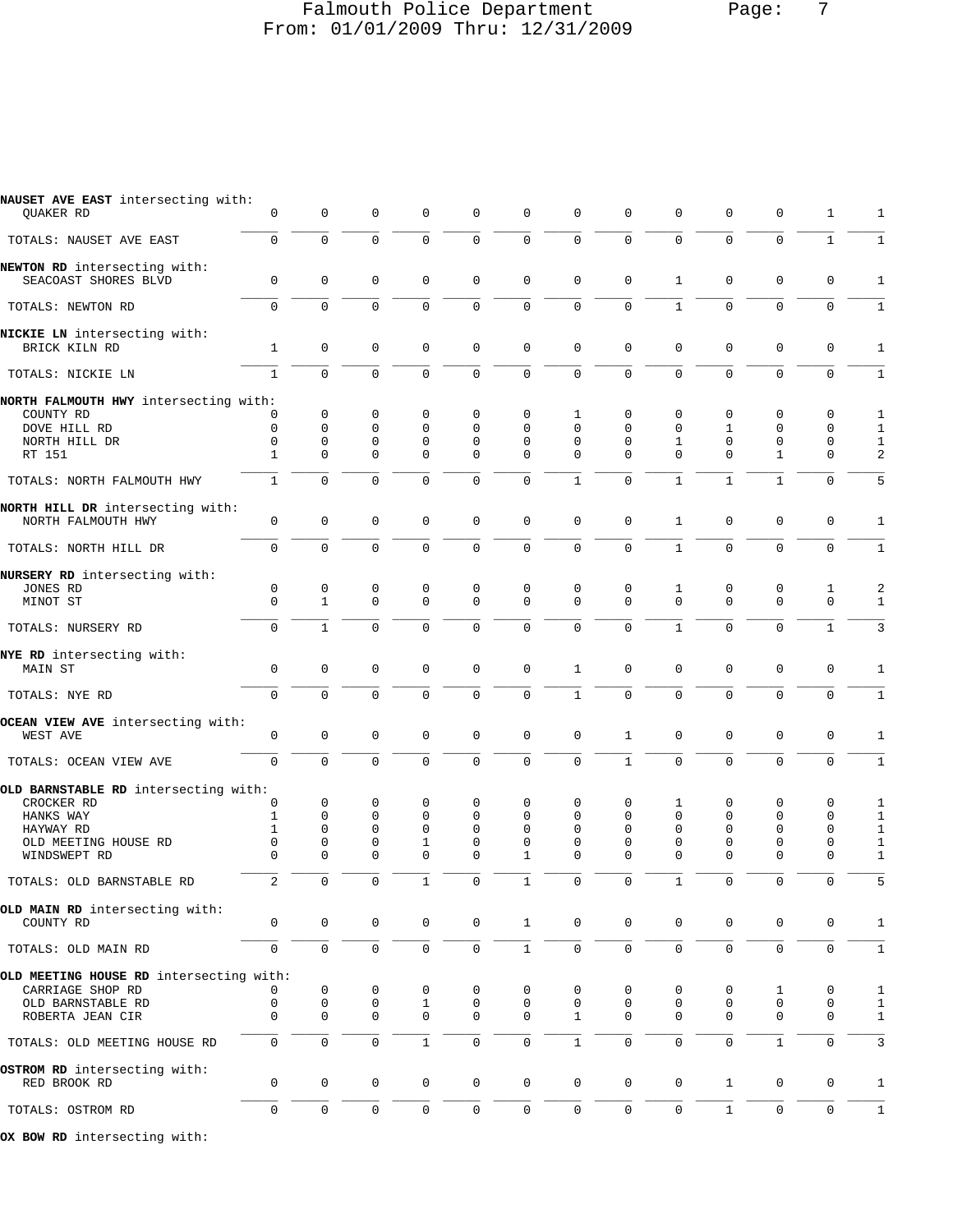#### Falmouth Police Department Page: 7 From: 01/01/2009 Thru: 12/31/2009

| NAUSET AVE EAST intersecting with:<br>QUAKER RD      | 0                          | 0                   | 0                       | 0                 | 0                   | $\mathbf 0$             | $\Omega$             | 0                       | 0                | $\mathbf 0$             | 0                        | 1                          | 1                   |
|------------------------------------------------------|----------------------------|---------------------|-------------------------|-------------------|---------------------|-------------------------|----------------------|-------------------------|------------------|-------------------------|--------------------------|----------------------------|---------------------|
| TOTALS: NAUSET AVE EAST                              | $\mathbf 0$                | 0                   | 0                       | $\mathbf 0$       | $\mathsf 0$         | $\mathbf 0$             | $\Omega$             | $\mathbf 0$             | $\mathbf 0$      | $\mathbf 0$             | $\mathbf 0$              | $\mathbf{1}$               | 1                   |
| NEWTON RD intersecting with:<br>SEACOAST SHORES BLVD | $\mathsf{O}\xspace$        | $\mathsf 0$         | 0                       | 0                 | $\mathsf 0$         | $\mathbf 0$             | $\mathbf{0}$         | 0                       | $\mathbf{1}$     | $\mathbf 0$             | $\mathbf 0$              | 0                          | 1                   |
| TOTALS: NEWTON RD                                    | $\Omega$                   | 0                   | $\Omega$                | $\Omega$          | $\Omega$            | $\mathbf 0$             | $\Omega$             | $\mathbf 0$             | $\mathbf{1}$     | $\Omega$                | $\Omega$                 | $\mathbf 0$                | 1                   |
| NICKIE LN intersecting with:                         |                            |                     |                         |                   |                     |                         |                      |                         |                  |                         |                          |                            |                     |
| BRICK KILN RD                                        | $\mathbf{1}$               | $\mathbf 0$         | $\mathbf 0$             | $\mathbf 0$       | $\mathbf 0$         | $\mathbf 0$             | $\mathbf 0$          | $\mathbf 0$             | $\mathbf 0$      | $\mathbf 0$             | $\mathbf 0$              | $\mathbf 0$                | $\mathbf{1}$        |
| TOTALS: NICKIE LN                                    | $\mathbf{1}$               | $\mathbf 0$         | $\Omega$                | 0                 | $\mathbf 0$         | $\mathbf 0$             | $\mathsf{O}$         | $\mathbf 0$             | $\Omega$         | $\mathbf 0$             | $\Omega$                 | $\mathbf 0$                | $\mathbf{1}$        |
| NORTH FALMOUTH HWY intersecting with:                |                            |                     |                         |                   |                     |                         |                      |                         |                  |                         |                          |                            |                     |
| COUNTY RD                                            | 0                          | 0                   | 0                       | 0<br>$\Omega$     | 0                   | 0                       | 1                    | 0<br>$\Omega$           | 0                | 0                       | 0                        | 0                          | 1                   |
| DOVE HILL RD<br>NORTH HILL DR                        | 0<br>$\mathbf 0$           | 0<br>0              | 0<br>0                  | $\mathbf 0$       | $\Omega$<br>0       | $\Omega$<br>$\mathbf 0$ | $\Omega$<br>0        | $\mathbf{0}$            | $\Omega$<br>1    | 1<br>$\mathbf 0$        | $\Omega$<br>$\mathbf{0}$ | $\Omega$<br>0              | 1<br>1              |
| RT 151                                               | 1                          | $\Omega$            | $\Omega$                | $\Omega$          | $\Omega$            | $\Omega$                | $\Omega$             | $\Omega$                | $\Omega$         | $\Omega$                | 1                        | 0                          | 2                   |
| TOTALS: NORTH FALMOUTH HWY                           | $\mathbf{1}$               | $\mathbf 0$         | 0                       | $\mathbf 0$       | $\mathbf 0$         | $\mathbf 0$             | $\mathbf{1}$         | $\mathbf 0$             | $\mathbf{1}$     | $\mathbf{1}$            | $\mathbf{1}$             | $\mathbf 0$                | 5                   |
| NORTH HILL DR intersecting with:                     |                            |                     |                         |                   |                     |                         |                      |                         |                  |                         |                          |                            |                     |
| NORTH FALMOUTH HWY                                   | 0                          | 0                   | 0                       | 0                 | 0                   | $\mathbf 0$             | $\mathbf 0$          | 0                       | $\mathbf{1}$     | $\mathbf 0$             | 0                        | 0                          | 1                   |
| TOTALS: NORTH HILL DR                                | $\mathbf 0$                | $\mathbf 0$         | $\Omega$                | $\mathbf 0$       | $\mathbf 0$         | $\mathbf 0$             | $\Omega$             | $\Omega$                | $\mathbf{1}$     | $\Omega$                | $\mathbf 0$              | $\mathbf 0$                | 1                   |
| NURSERY RD intersecting with:                        |                            |                     |                         |                   |                     |                         |                      |                         |                  |                         |                          |                            |                     |
| JONES RD<br>MINOT ST                                 | $\mathbf 0$<br>$\mathbf 0$ | 0<br>$\mathbf{1}$   | 0<br>$\Omega$           | 0<br>$\Omega$     | 0<br>0              | 0<br>$\Omega$           | 0<br>$\Omega$        | 0<br>$\Omega$           | 1<br>$\mathbf 0$ | 0<br>$\Omega$           | 0<br>$\Omega$            | 1<br>$\mathbf 0$           | $\overline{c}$<br>1 |
| TOTALS: NURSERY RD                                   | $\mathbf 0$                | $\mathbf{1}$        | $\Omega$                | $\Omega$          | $\mathbf 0$         | $\Omega$                | $\Omega$             | $\mathbf 0$             | $\mathbf{1}$     | $\mathbf{0}$            | $\Omega$                 | $\mathbf{1}$               | 3                   |
| NYE RD intersecting with:                            |                            |                     |                         |                   |                     |                         |                      |                         |                  |                         |                          |                            |                     |
| MAIN ST                                              | $\mathbf 0$                | $\mathbf 0$         | 0                       | 0                 | 0                   | $\mathbf 0$             | $\mathbf{1}$         | 0                       | 0                | $\mathbf 0$             | 0                        | 0                          | 1                   |
| TOTALS: NYE RD                                       | $\Omega$                   | $\Omega$            | $\Omega$                | $\Omega$          | $\mathbf 0$         | $\mathbf 0$             | $\mathbf{1}$         | $\Omega$                | $\Omega$         | $\mathbf 0$             | $\Omega$                 | $\mathbf 0$                | 1                   |
| OCEAN VIEW AVE intersecting with:<br>WEST AVE        | 0                          | 0                   | 0                       | $\mathbf 0$       | 0                   | $\mathbf 0$             | $\mathbf{0}$         | 1                       | $\mathbf 0$      | $\mathbf 0$             | $\mathbf{0}$             | $\mathbf 0$                | 1                   |
|                                                      |                            |                     |                         |                   |                     |                         |                      |                         |                  |                         |                          |                            |                     |
| TOTALS: OCEAN VIEW AVE                               | $\mathbf 0$                | $\mathbf 0$         | 0                       | $\mathbf 0$       | $\mathsf 0$         | $\mathbf 0$             | $\mathbf 0$          | $\mathbf{1}$            | $\mathbf 0$      | $\mathbf 0$             | $\mathbf 0$              | $\mathbf 0$                | 1                   |
| OLD BARNSTABLE RD intersecting with:                 |                            |                     |                         |                   |                     |                         |                      |                         |                  |                         |                          |                            |                     |
| CROCKER RD                                           | 0                          | 0                   | 0                       | 0                 | 0                   | 0                       | $\mathbf 0$          | 0                       | 1                | $\mathbf 0$             | 0                        | $\mathbf 0$                | 1                   |
| HANKS WAY                                            | 1                          | 0<br>$\Omega$       | $\mathbf 0$<br>$\Omega$ | 0<br>$\Omega$     | 0<br>$\Omega$       | 0<br>$\Omega$           | $\Omega$<br>$\Omega$ | $\mathbf 0$<br>$\Omega$ | 0<br>$\Omega$    | $\mathbf 0$<br>$\Omega$ | 0<br>$\Omega$            | 0                          | 1                   |
| HAYWAY RD<br>OLD MEETING HOUSE RD                    | $\mathbf{1}$<br>0          | 0                   | 0                       | $\mathbf{1}$      | 0                   | $\mathbf 0$             | $\mathbf 0$          | $\mathbf{0}$            | 0                | $\mathbf{0}$            | $\mathbf{0}$             | 0<br>$\mathbf 0$           | $1\,$<br>$1\,$      |
| WINDSWEPT RD                                         | $\Omega$                   | $\Omega$            | $\Omega$                | $\mathbf 0$       | $\Omega$            | $\mathbf{1}$            | $\Omega$             | $\Omega$                | 0                | $\Omega$                | $\Omega$                 | $\mathbf 0$                | $\mathbf{1}$        |
| TOTALS: OLD BARNSTABLE RD                            | 2                          | U                   | $\cup$                  | $\mathbf{I}$      | $\cup$              | 1.                      | $\cup$               | $\cup$                  | ı                | 0                       |                          | 0                          |                     |
| OLD MAIN RD intersecting with:                       |                            |                     |                         |                   |                     |                         |                      |                         |                  |                         |                          |                            |                     |
| COUNTY RD                                            | 0                          | $\mathsf{O}\xspace$ | 0                       | 0                 | 0                   | $\mathbf{1}$            | $\mathbf 0$          | 0                       | 0                | 0                       | 0                        | 0                          | 1                   |
| TOTALS: OLD MAIN RD                                  | 0                          | $\mathsf 0$         | $\mathbf 0$             | 0                 | $\mathsf 0$         | $\mathbf{1}$            | $\mathbf 0$          | $\mathbf 0$             | $\mathbf 0$      | $\mathsf 0$             | 0                        | $\mathbf 0$                | 1                   |
| OLD MEETING HOUSE RD intersecting with:              |                            |                     |                         |                   |                     |                         |                      |                         |                  |                         |                          |                            |                     |
| CARRIAGE SHOP RD<br>OLD BARNSTABLE RD                | 0<br>0                     | 0<br>0              | 0<br>0                  | 0<br>$\mathbf{1}$ | 0<br>0              | 0<br>$\mathbf 0$        | $\mathbf 0$<br>0     | 0<br>$\mathsf 0$        | 0<br>0           | 0<br>0                  | 1<br>0                   | $\mathbf 0$<br>$\mathbf 0$ | 1                   |
| ROBERTA JEAN CIR                                     | 0                          | 0                   | 0                       | 0                 | 0                   | $\mathbf 0$             | $\mathbf{1}$         | $\mathbf 0$             | 0                | $\mathbf 0$             | 0                        | 0                          | 1<br>$\mathbf 1$    |
| TOTALS: OLD MEETING HOUSE RD                         | 0                          | $\mathbf 0$         | 0                       | $\mathbf{1}$      | $\mathsf 0$         | $\mathbf 0$             | $\mathbf{1}$         | $\mathbf 0$             | $\mathbf 0$      | $\mathbf 0$             | $\mathbf{1}$             | $\mathbf 0$                | 3                   |
| OSTROM RD intersecting with:                         |                            |                     |                         |                   |                     |                         |                      |                         |                  |                         |                          |                            |                     |
| RED BROOK RD                                         | 0                          | $\mathsf{O}\xspace$ | 0                       | 0                 | $\mathsf{O}\xspace$ | $\mathsf 0$             | $\mathsf 0$          | $\mathsf 0$             | 0                | $\mathbf{1}$            | 0                        | 0                          | $\mathbf 1$         |
| TOTALS: OSTROM RD                                    | 0                          | $\mathsf{O}\xspace$ | 0                       | 0                 | $\mathsf{O}\xspace$ | $\mathsf{O}\xspace$     | 0                    | $\mathsf{O}\xspace$     | 0                | $1\,$                   | $\mathsf{O}$             | $\mathsf{O}\xspace$        | $\mathbf 1$         |
|                                                      |                            |                     |                         |                   |                     |                         |                      |                         |                  |                         |                          |                            |                     |

**OX BOW RD** intersecting with: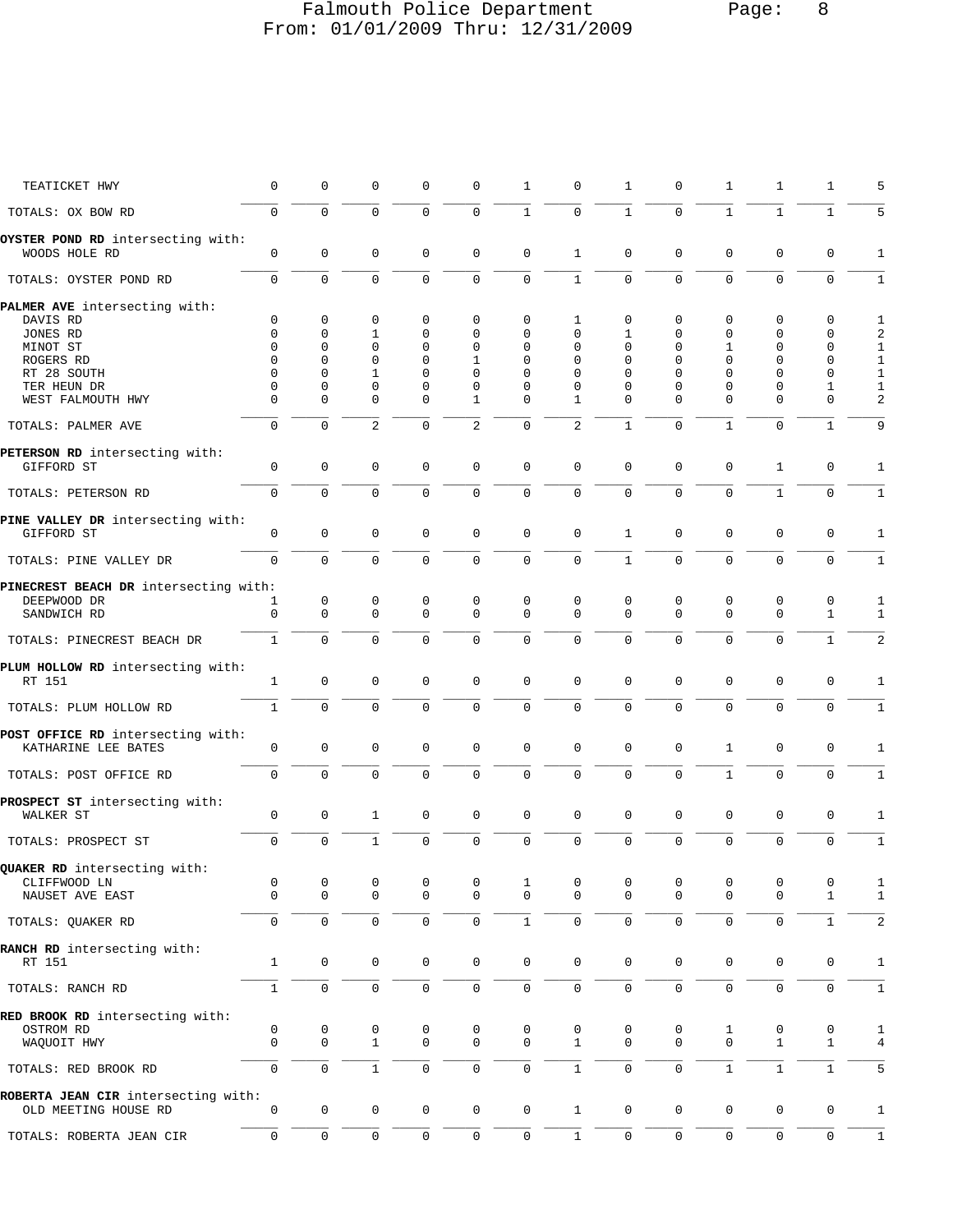# Falmouth Police Department Page: 8 From: 01/01/2009 Thru: 12/31/2009

| TEATICKET HWY                                            | $\mathsf 0$    | $\mathbf 0$         | $\mathbf 0$    | $\mathbf 0$  | $\mathbf 0$         | $\mathbf{1}$ | 0              | $\mathbf 1$    | 0           | $\mathbf{1}$        | 1                   | 1                   | 5              |
|----------------------------------------------------------|----------------|---------------------|----------------|--------------|---------------------|--------------|----------------|----------------|-------------|---------------------|---------------------|---------------------|----------------|
| TOTALS: OX BOW RD                                        | $\mathbf 0$    | $\mathbf 0$         | $\mathbf 0$    | 0            | $\mathbf 0$         | $\mathbf{1}$ | $\mathbf 0$    | $\mathbf{1}$   | $\mathbf 0$ | $\mathbf{1}$        | $\mathbf{1}$        | $\mathbf{1}$        | 5              |
| OYSTER POND RD intersecting with:<br>WOODS HOLE RD       | $\mathsf 0$    | $\mathsf 0$         | $\mathbf 0$    | $\mathbf 0$  | $\mathbf 0$         | $\mathbf 0$  | 1              | 0              | $\mathsf 0$ | $\mathbf 0$         | $\mathbf 0$         | $\mathsf{O}\xspace$ | $\mathbf{1}$   |
| TOTALS: OYSTER POND RD                                   | $\mathsf 0$    | $\mathbf 0$         | $\mathbf 0$    | $\mathbf 0$  | $\mathbf 0$         | 0            | $\mathbf{1}$   | $\mathbf 0$    | $\mathbf 0$ | $\mathbf{0}$        | $\mathbf 0$         | $\mathbf 0$         | 1              |
| PALMER AVE intersecting with:                            |                |                     |                |              |                     |              |                |                |             |                     |                     |                     |                |
| DAVIS RD                                                 | 0              | $\mathbf 0$         | 0              | 0            | $\mathbf 0$         | 0            | 1              | 0              | 0           | 0                   | 0                   | 0                   | 1              |
| JONES RD                                                 | 0              | 0                   | 1              | $\mathbf 0$  | $\mathbf 0$         | 0            | $\Omega$       | 1              | 0           | $\mathbf 0$         | $\mathbf 0$         | $\mathbf 0$         | $\overline{a}$ |
| MINOT ST                                                 | $\Omega$       | 0                   | 0              | $\mathbf 0$  | 0                   | 0            | 0              | 0              | 0           | 1                   | $\mathbf 0$         | 0                   | $\mathbf{1}$   |
|                                                          |                |                     |                |              |                     |              |                |                |             |                     |                     |                     |                |
| ROGERS RD                                                | 0              | 0                   | $\mathbf 0$    | $\mathbf 0$  | $\mathbf{1}$        | 0            | 0              | 0              | 0           | $\mathbf{0}$        | $\mathbf 0$         | $\mathbf 0$         | $1\,$          |
| RT 28 SOUTH                                              | 0              | 0                   | 1              | $\mathbf 0$  | $\mathbf 0$         | 0            | 0              | 0              | 0           | $\mathbf 0$         | $\mathbf 0$         | $\mathbf 0$         | $\mathbf{1}$   |
| TER HEUN DR                                              | 0              | 0                   | 0              | 0            | 0                   | 0            | 0              | 0              | 0           | $\mathbf 0$         | 0                   | 1                   | $\mathbf{1}$   |
| WEST FALMOUTH HWY                                        | $\mathbf 0$    | 0                   | $\mathbf 0$    | $\mathbf{0}$ | $\mathbf{1}$        | $\mathbf 0$  | $\mathbf{1}$   | 0              | $\mathbf 0$ | $\mathbf{0}$        | $\mathbf 0$         | $\mathbf 0$         | $\overline{a}$ |
| TOTALS: PALMER AVE                                       | $\overline{0}$ | $\mathbf 0$         | $\overline{2}$ | 0            | $\overline{2}$      | $\mathsf 0$  | $\overline{2}$ | $\mathbf 1$    | $\mathbf 0$ | $1\,$               | $\mathbf 0$         | $\mathbf{1}$        | 9              |
| PETERSON RD intersecting with:                           |                |                     |                |              |                     |              |                |                |             |                     |                     |                     |                |
| GIFFORD ST                                               | 0              | $\mathsf 0$         | 0              | 0            | $\mathbf 0$         | $\mathbf 0$  | $\mathbf 0$    | 0              | $\mathsf 0$ | 0                   | $\mathbf{1}$        | $\mathsf{O}\xspace$ | $\mathbf{1}$   |
| TOTALS: PETERSON RD                                      | $\mathbf 0$    | $\mathbf 0$         | $\mathbf 0$    | $\mathbf 0$  | $\mathbf 0$         | $\mathbf 0$  | 0              | 0              | $\mathbf 0$ | $\mathbf 0$         | $\mathbf{1}$        | $\mathsf{O}\xspace$ | $\mathbf{1}$   |
| PINE VALLEY DR intersecting with:                        |                |                     |                |              |                     |              |                |                |             |                     |                     |                     |                |
| GIFFORD ST                                               | $\mathsf 0$    | $\mathbf 0$         | $\mathbf 0$    | 0            | $\mathbf 0$         | $\mathbf 0$  | $\mathbf 0$    | $\mathbf{1}$   | 0           | $\mathbf 0$         | 0                   | $\mathbf 0$         | 1              |
| TOTALS: PINE VALLEY DR                                   | $\mathsf 0$    | $\mathbf 0$         | $\mathbf 0$    | $\mathbf 0$  | $\mathbf 0$         | $\mathbf 0$  | $\mathbf 0$    | $\mathbf{1}$   | $\mathbf 0$ | $\mathbf{0}$        | $\mathbf 0$         | $\mathbf 0$         | 1              |
|                                                          |                |                     |                |              |                     |              |                |                |             |                     |                     |                     |                |
| PINECREST BEACH DR intersecting with:                    |                |                     |                |              |                     |              |                |                |             |                     |                     |                     |                |
| DEEPWOOD DR                                              | 1              | 0                   | 0              | 0            | 0                   | 0            | 0              | 0              | 0           | 0                   | 0                   | 0                   | 1              |
| SANDWICH RD                                              | $\mathbf 0$    | $\mathbf 0$         | $\mathbf 0$    | $\mathbf 0$  | $\mathbf 0$         | $\mathbf 0$  | $\mathbf 0$    | 0              | $\mathbf 0$ | $\mathbf 0$         | $\mathbf 0$         | $\mathbf{1}$        | 1              |
| TOTALS: PINECREST BEACH DR                               | $\mathbf{1}$   | $\mathbf 0$         | $\mathbf 0$    | $\Omega$     | $\mathbf 0$         | $\mathbf 0$  | $\mathbf 0$    | $\Omega$       | $\mathbf 0$ | $\mathbf{0}$        | $\mathbf 0$         | $\mathbf{1}$        | $\overline{2}$ |
|                                                          |                |                     |                |              |                     |              |                |                |             |                     |                     |                     |                |
| PLUM HOLLOW RD intersecting with:<br>RT 151              | 1              | 0                   | 0              | 0            | $\mathbf 0$         | $\mathbf 0$  | $\mathbf 0$    | 0              | 0           | 0                   | 0                   | $\mathsf{O}\xspace$ | 1              |
| TOTALS: PLUM HOLLOW RD                                   | $\mathbf{1}$   | $\mathbf 0$         | $\mathsf 0$    | $\mathbf 0$  | $\mathsf{O}\xspace$ | $\mathsf 0$  | 0              | 0              | $\mathbf 0$ | $\mathbf 0$         | $\mathbf 0$         | $\mathsf{O}\xspace$ | $\mathbf{1}$   |
|                                                          |                |                     |                |              |                     |              |                |                |             |                     |                     |                     |                |
| POST OFFICE RD intersecting with:<br>KATHARINE LEE BATES | $\mathsf 0$    | $\mathsf 0$         | 0              | $\mathbf 0$  | $\mathbf 0$         | $\mathbf 0$  | $\mathbf 0$    | 0              | $\mathsf 0$ | 1                   | 0                   | $\mathsf{O}\xspace$ | 1              |
| TOTALS: POST OFFICE RD                                   | $\mathsf 0$    | $\mathbf 0$         | $\mathbf 0$    | $\mathbf 0$  | $\mathbf 0$         | 0            | $\mathsf 0$    | $\mathsf 0$    | $\mathsf 0$ | $\mathbf{1}$        | $\mathbf 0$         | $\mathbf 0$         | $\mathbf{1}$   |
|                                                          |                |                     |                |              |                     |              |                |                |             |                     |                     |                     |                |
| PROSPECT ST intersecting with:<br>WALKER ST              | $\mathsf 0$    | $\mathbf 0$         | 1              | 0            | $\mathbf 0$         | $\mathbf 0$  | $\mathbf 0$    | $\mathsf 0$    | 0           | 0                   | 0                   | $\mathsf{O}\xspace$ | 1              |
|                                                          |                |                     |                |              |                     |              |                |                |             |                     |                     |                     |                |
| TOTALS: PROSPECT ST                                      | $\mathbf 0$    | $\mathbf 0$         | $\mathbf{1}$   | $\Omega$     | $\mathbf 0$         | $\mathbf 0$  | $\mathbf 0$    | $\overline{0}$ | $\mathbf 0$ | $\mathbf 0$         | $\mathbf 0$         | $\mathsf{O}\xspace$ | 1              |
| QUAKER RD intersecting with:                             |                |                     |                |              |                     |              |                |                |             |                     |                     |                     |                |
| CLIFFWOOD LN                                             | 0              | 0                   | 0              | 0            | 0                   |              | 0              | 0              | 0           | 0                   | 0                   | 0                   | 1              |
| NAUSET AVE EAST                                          | $\mathsf 0$    | 0                   | $\mathbf 0$    | 0            | 0                   | 0            | 0              | 0              | $\mathsf 0$ | $\mathbf 0$         | 0                   | 1                   | $\mathbf{1}$   |
| TOTALS: QUAKER RD                                        | 0              | $\mathsf{O}$        | $\mathsf 0$    | $\mathbf 0$  | $\mathsf 0$         | $\,1\,$      | 0              | 0              | 0           | $\mathsf 0$         | $\mathsf{O}\xspace$ | $1\,$               | $\overline{a}$ |
| RANCH RD intersecting with:                              |                |                     |                |              |                     |              |                |                |             |                     |                     |                     |                |
| RT 151                                                   | $\mathbf{1}$   | $\mathsf{O}\xspace$ | 0              | 0            | $\mathbb O$         | $\mathsf 0$  | $\mathbf 0$    | $\mathsf 0$    | 0           | 0                   | $\mathbf 0$         | 0                   | $\mathbf{1}$   |
| TOTALS: RANCH RD                                         | $\mathbf 1$    | $\mathsf{O}\xspace$ | $\mathsf 0$    | $\mathbf 0$  | $\mathbb O$         | $\mathbf 0$  | 0              | 0              | 0           | $\mathsf{O}\xspace$ | $\mathbf 0$         | 0                   | 1              |
|                                                          |                |                     |                |              |                     |              |                |                |             |                     |                     |                     |                |
| RED BROOK RD intersecting with:                          |                |                     |                |              |                     |              |                |                |             |                     |                     |                     |                |
| OSTROM RD                                                | 0              | 0                   | 0              | 0            | 0                   | 0            | 0              | 0              | 0           | 1                   | 0                   | 0                   | 1              |
| WAQUOIT HWY                                              | $\mathsf 0$    | $\mathbf 0$         | $\mathbf{1}$   | $\mathbf 0$  | $\mathbf 0$         | 0            | $\mathbf{1}$   | 0              | 0           | 0                   | $\mathbf{1}$        | $\mathbf{1}$        | 4              |
| TOTALS: RED BROOK RD                                     | $\mathbf 0$    | $\mathsf{O}\xspace$ | $1\,$          | $\mathbf 0$  | $\mathbb O$         | $\mathbb O$  | $\mathbf{1}$   | 0              | 0           | $1\,$               | $1\,$               | $1\,$               | 5              |
|                                                          |                |                     |                |              |                     |              |                |                |             |                     |                     |                     |                |
| ROBERTA JEAN CIR intersecting with:                      |                |                     |                |              |                     |              |                |                |             |                     |                     |                     |                |
| OLD MEETING HOUSE RD                                     | 0              | 0                   | 0              | 0            | $\mathsf{O}\xspace$ | $\mathbb O$  | 1              | 0              | 0           | 0                   | 0                   | 0                   | $\mathbf{1}$   |

 \_\_\_\_\_ \_\_\_\_\_ \_\_\_\_\_ \_\_\_\_\_ \_\_\_\_\_ \_\_\_\_\_ \_\_\_\_\_ \_\_\_\_\_ \_\_\_\_\_ \_\_\_\_\_ \_\_\_\_\_ \_\_\_\_\_ \_\_\_\_\_ TOTALS: ROBERTA JEAN CIR 0 0 0 0 0 0 1 0 0 0 0 0 1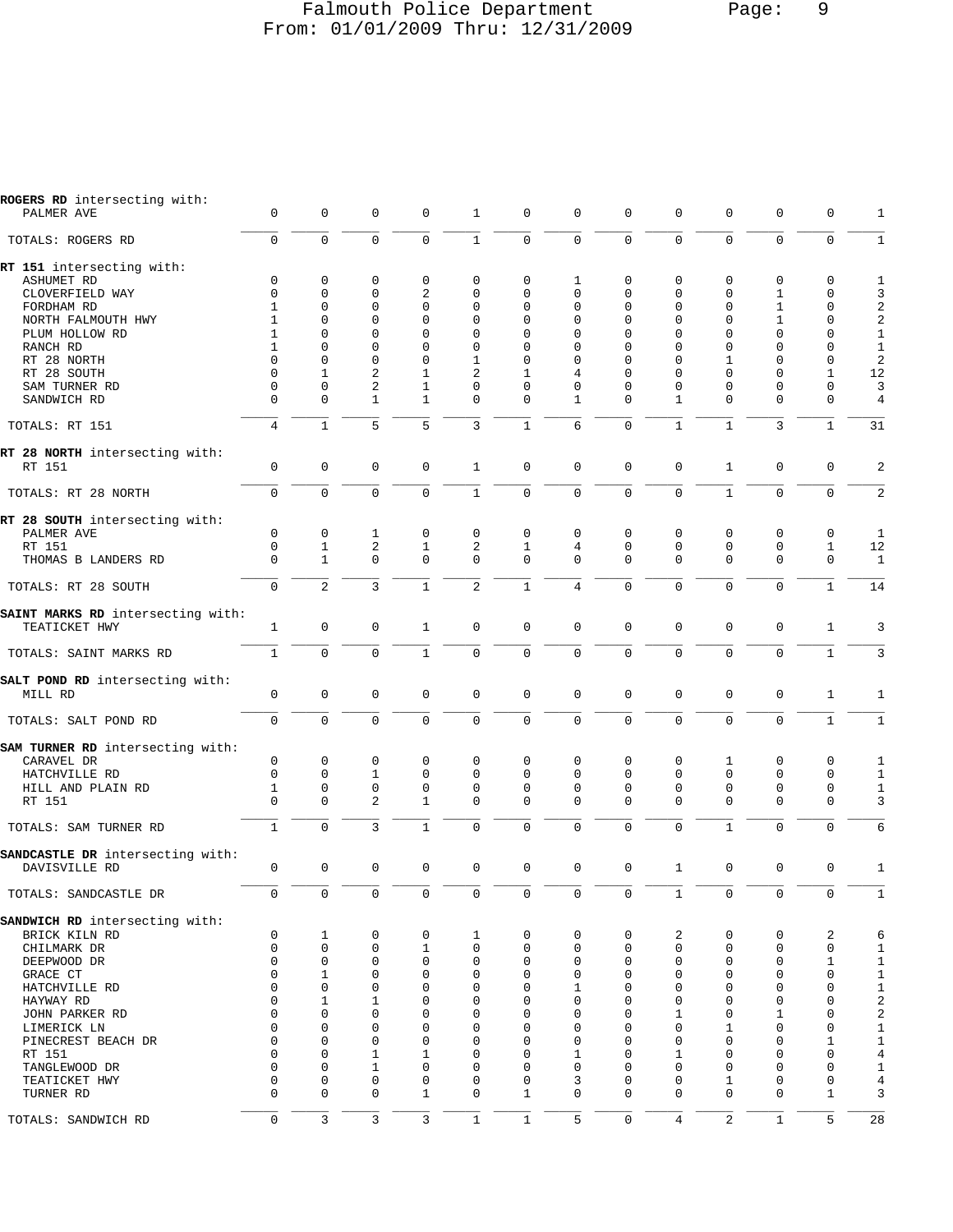#### Falmouth Police Department Page: 9 From: 01/01/2009 Thru: 12/31/2009

PALMER AVE 0 0 0 0 1 0 0 0 0 0 0 0 1

**ROGERS RD** intersecting with:

| TOTALS: ROGERS RD                        | $\mathbf 0$    | $\mathbf 0$  | $\Omega$       | $\Omega$       | 1              | 0            | 0              | 0                   | $\Omega$       | $\Omega$     | $\Omega$     | $\mathbf 0$  |                         |
|------------------------------------------|----------------|--------------|----------------|----------------|----------------|--------------|----------------|---------------------|----------------|--------------|--------------|--------------|-------------------------|
| RT 151 intersecting with:                |                |              |                |                |                |              |                |                     |                |              |              |              |                         |
| <b>ASHUMET RD</b>                        | $\mathbf 0$    | 0            | 0              | 0              | 0              | 0            | 1              | 0                   | 0              | $\mathbf 0$  | 0            | $\mathbf 0$  | 1                       |
| CLOVERFIELD WAY                          | $\Omega$       | 0            | $\Omega$       | $\overline{2}$ | $\Omega$       | $\Omega$     | $\Omega$       | $\Omega$            | $\Omega$       | $\Omega$     | $\mathbf{1}$ | $\Omega$     | 3                       |
| FORDHAM RD                               | $\mathbf{1}$   | $\mathbf 0$  | $\Omega$       | $\Omega$       | $\Omega$       | $\Omega$     | $\Omega$       | $\Omega$            | $\Omega$       | $\Omega$     | $\mathbf{1}$ | $\mathbf 0$  | $\overline{\mathbf{c}}$ |
| NORTH FALMOUTH HWY                       | $\mathbf{1}$   | $\Omega$     | $\Omega$       | $\Omega$       | $\Omega$       | $\Omega$     | $\Omega$       | $\Omega$            | $\Omega$       | $\Omega$     | $\mathbf{1}$ | $\Omega$     | $\overline{c}$          |
|                                          | $\mathbf{1}$   | $\Omega$     | $\Omega$       | $\Omega$       | $\Omega$       | $\Omega$     | $\Omega$       | $\Omega$            | $\Omega$       | $\Omega$     | $\Omega$     | $\Omega$     | $\mathbf{1}$            |
| PLUM HOLLOW RD                           |                |              |                |                |                |              |                |                     |                |              |              |              |                         |
| RANCH RD                                 | $\mathbf{1}$   | $\Omega$     | $\Omega$       | $\Omega$       | $\Omega$       | $\Omega$     | $\Omega$       | $\Omega$            | $\Omega$       | $\Omega$     | $\Omega$     | $\mathbf 0$  | $\mathbf{1}$            |
| RT 28 NORTH                              | $\Omega$       | $\Omega$     | $\Omega$       | $\Omega$       | $\mathbf{1}$   | $\Omega$     | $\Omega$       | $\Omega$            | $\Omega$       | $\mathbf{1}$ | $\Omega$     | $\mathbf 0$  | $\overline{c}$          |
| RT 28 SOUTH                              | $\Omega$       | $\mathbf{1}$ | $\overline{a}$ | $\mathbf{1}$   | $\overline{2}$ | $\mathbf{1}$ | 4              | $\Omega$            | $\Omega$       | $\Omega$     | $\Omega$     | $\mathbf{1}$ | 12                      |
| SAM TURNER RD                            | $\Omega$       | $\Omega$     | $\overline{2}$ | $\mathbf{1}$   | $\Omega$       | $\Omega$     | $\Omega$       | $\Omega$            | $\Omega$       | $\Omega$     | $\Omega$     | $\mathbf 0$  | 3                       |
| SANDWICH RD                              | $\Omega$       | $\Omega$     | $\mathbf{1}$   | $\mathbf{1}$   | $\Omega$       | $\Omega$     | $\mathbf{1}$   | $\Omega$            | $\mathbf{1}$   | $\Omega$     | $\Omega$     | $\Omega$     | $\overline{4}$          |
| TOTALS: RT 151                           | $\overline{4}$ | $\mathbf{1}$ | 5              | 5              | 3              | $\mathbf{1}$ | 6              | $\Omega$            | $\mathbf{1}$   | $\mathbf{1}$ | 3            | $\mathbf{1}$ | 31                      |
| RT 28 NORTH intersecting with:<br>RT 151 | $\mathbf 0$    | $\mathbf 0$  | $\Omega$       | $\mathbf 0$    | $\mathbf{1}$   | $\mathbf 0$  | $\mathbf 0$    | 0                   | $\mathbf 0$    | $\mathbf{1}$ | $\mathbf 0$  | $\mathbf 0$  | $\overline{2}$          |
| TOTALS: RT 28 NORTH                      | $\Omega$       | $\Omega$     | $\Omega$       | $\Omega$       | $\mathbf{1}$   | $\Omega$     | $\Omega$       | $\Omega$            | $\Omega$       | $\mathbf{1}$ | $\Omega$     | $\Omega$     | 2                       |
| RT 28 SOUTH intersecting with:           |                |              |                |                |                |              |                |                     |                |              |              |              |                         |
| PALMER AVE                               | $\mathbf 0$    | $\mathbf 0$  | 1              | 0              | 0              | $\Omega$     | $\Omega$       | $\Omega$            | $\mathbf 0$    | $\mathbf 0$  | 0            | $\mathbf 0$  | $\mathbf{1}$            |
| RT 151                                   | $\mathbf 0$    | $\mathbf{1}$ | 2              | $\mathbf{1}$   | 2              | $\mathbf{1}$ | 4              | $\mathbf{0}$        | $\mathbf 0$    | $\mathbf 0$  | $\mathbf{0}$ | $\mathbf{1}$ | 12                      |
| THOMAS B LANDERS RD                      | $\Omega$       | $\mathbf{1}$ | $\Omega$       | $\Omega$       | $\Omega$       | $\Omega$     | $\Omega$       | $\Omega$            | $\Omega$       | $\Omega$     | $\Omega$     | $\mathbf 0$  | 1                       |
| TOTALS: RT 28 SOUTH                      | $\Omega$       | 2            | 3              | $\mathbf{1}$   | $\overline{a}$ | $\mathbf{1}$ | $\overline{4}$ | $\Omega$            | $\Omega$       | $\Omega$     | $\Omega$     | $\mathbf{1}$ | 14                      |
| SAINT MARKS RD intersecting with:        |                |              |                |                |                |              |                |                     |                |              |              |              |                         |
| TEATICKET HWY                            | $\mathbf{1}$   | $\mathbf 0$  | $\Omega$       | $\mathbf{1}$   | 0              | $\mathbf 0$  | $\Omega$       | $\Omega$            | $\mathbf 0$    | $\mathbf 0$  | $\mathbf 0$  | $\mathbf{1}$ | 3                       |
| TOTALS: SAINT MARKS RD                   | $\mathbf{1}$   | $\mathbf 0$  | $\Omega$       | $\mathbf{1}$   | $\mathbf 0$    | $\mathbf 0$  | $\Omega$       | $\Omega$            | $\mathbf 0$    | $\mathbf 0$  | $\Omega$     | $\mathbf{1}$ | 3                       |
| SALT POND RD intersecting with:          |                |              |                |                |                |              |                |                     |                |              |              |              |                         |
| MILL RD                                  | $\mathbf 0$    | $\mathbf 0$  | $\mathbf 0$    | $\mathbf 0$    | $\mathbf 0$    | $\mathbf 0$  | $\mathbf 0$    | $\mathbf{0}$        | $\mathbf 0$    | $\mathbf 0$  | $\mathsf 0$  | $\mathbf{1}$ | 1                       |
| TOTALS: SALT POND RD                     | $\Omega$       | $\Omega$     | $\Omega$       | $\Omega$       | $\Omega$       | $\Omega$     | $\Omega$       | $\Omega$            | $\Omega$       | $\Omega$     | $\Omega$     | $\mathbf{1}$ | $\mathbf{1}$            |
| SAM TURNER RD intersecting with:         |                |              |                |                |                |              |                |                     |                |              |              |              |                         |
| CARAVEL DR                               | $\mathbf 0$    | $\mathbf 0$  | $\Omega$       | 0              | $\Omega$       | $\Omega$     | $\Omega$       | 0                   | $\mathbf 0$    | 1            | $\Omega$     | $\Omega$     | $\mathbf{1}$            |
| HATCHVILLE RD                            | $\Omega$       | $\mathbf 0$  | $\mathbf{1}$   | $\Omega$       | $\Omega$       | $\Omega$     | $\Omega$       | $\Omega$            | $\Omega$       | $\Omega$     | $\Omega$     | $\Omega$     | 1                       |
| HILL AND PLAIN RD                        | $\mathbf{1}$   | $\mathbf 0$  | $\mathbf 0$    | $\mathbf 0$    | $\Omega$       | $\Omega$     | $\Omega$       | $\Omega$            | $\Omega$       | $\mathbf 0$  | $\mathbf 0$  | $\mathbf 0$  | $\mathbf{1}$            |
|                                          | $\Omega$       |              |                |                |                | $\Omega$     |                | $\Omega$            |                |              |              |              |                         |
| RT 151                                   |                | $\Omega$     | $\overline{2}$ | $\mathbf{1}$   | $\Omega$       |              | $\Omega$       |                     | $\Omega$       | $\Omega$     | $\Omega$     | $\Omega$     | 3                       |
| TOTALS: SAM TURNER RD                    | $\mathbf{1}$   | $\mathbf 0$  | 3              | $\mathbf{1}$   | $\Omega$       | $\Omega$     | $\Omega$       | $\Omega$            | $\Omega$       | $\mathbf{1}$ | $\Omega$     | $\Omega$     | 6                       |
| SANDCASTLE DR intersecting with:         |                |              |                |                |                |              |                |                     |                |              |              |              |                         |
| DAVISVILLE RD                            | $\mathbf 0$    | $\mathbf 0$  | $\Omega$       | 0              | 0              | $\mathbf 0$  | $\Omega$       | $\Omega$            | $\mathbf{1}$   | $\Omega$     | $\mathbf 0$  | $\mathbf 0$  | 1                       |
| TOTALS: SANDCASTLE DR                    | $\Omega$       | $\mathbf 0$  | $\Omega$       | $\Omega$       | $\mathbf 0$    | $\mathbf 0$  | $\Omega$       | $\mathbf 0$         | $\mathbf{1}$   | $\Omega$     | $\Omega$     | $\mathbf 0$  | 1                       |
| SANDWICH RD intersecting with:           |                |              |                |                |                |              |                |                     |                |              |              |              |                         |
| BRICK KILN RD                            | 0              | 1            | 0              | 0              | $\mathbf 1$    | $\mathsf 0$  | 0              | 0                   | 2              | $\mathbf 0$  | 0            | 2            | 6                       |
|                                          | 0              | $\mathsf 0$  | $\mathbf 0$    | $\mathbf{1}$   | 0              | $\mathsf 0$  | 0              | 0                   | 0              | $\mathsf 0$  | $\mathsf 0$  | $\mathbf 0$  | $\mathbf{1}$            |
| CHILMARK DR                              | $\mathbf{0}$   | 0            | 0              | 0              | 0              | 0            | 0              | 0                   | 0              | $\mathsf 0$  | 0            | $\mathbf{1}$ |                         |
| DEEPWOOD DR                              |                |              |                |                |                |              |                |                     |                |              |              |              | 1                       |
| GRACE CT                                 | $\mathbf{0}$   | $\mathbf{1}$ | $\mathbf 0$    | 0              | 0              | $\mathbf 0$  | $\mathbf 0$    | $\mathbf 0$         | $\mathbf 0$    | $\mathbf{0}$ | $\mathbf{0}$ | $\mathbf 0$  | $\mathbf{1}$            |
| HATCHVILLE RD                            | $\mathbf 0$    | $\mathbf 0$  | $\mathbf 0$    | 0              | 0              | 0            | 1              | 0                   | 0              | $\mathbf{0}$ | $\mathbf{0}$ | $\mathbf 0$  | $\mathbf{1}$            |
| HAYWAY RD                                | $\Omega$       | 1            | 1              | 0              | 0              | $\mathbf 0$  | 0              | 0                   | 0              | $\mathbf 0$  | $\mathbf{0}$ | $\mathbf 0$  | $\overline{\mathbf{c}}$ |
| JOHN PARKER RD                           | $\mathbf{0}$   | 0            | $\mathbf 0$    | 0              | 0              | $\mathbf 0$  | $\mathbf 0$    | $\mathbf 0$         | 1              | $\mathbf{0}$ | $\mathbf 1$  | $\mathbf 0$  | $\overline{a}$          |
| LIMERICK LN                              | $\mathbf 0$    | 0            | 0              | 0              | 0              | 0            | 0              | 0                   | 0              | 1            | 0            | $\mathbf 0$  | $\mathbf{1}$            |
| PINECREST BEACH DR                       | $\mathbf 0$    | 0            | 0              | 0              | 0              | 0            | $\mathbf 0$    | 0                   | 0              | $\mathbf{0}$ | 0            | 1            | $\mathbf{1}$            |
| RT 151                                   | $\Omega$       | $\mathbf 0$  | $\mathbf{1}$   | $\mathbf{1}$   | 0              | $\mathbf 0$  | 1              | 0                   | 1              | $\mathbf{0}$ | $\mathbf{0}$ | $\mathbf 0$  | $\overline{4}$          |
| TANGLEWOOD DR                            | $\Omega$       | 0            | 1              | 0              | 0              | $\mathbf 0$  | $\mathbf 0$    | 0                   | 0              | $\mathbf{0}$ | 0            | $\mathbf 0$  | $\mathbf{1}$            |
| TEATICKET HWY                            | $\mathbf 0$    | 0            | $\mathbf 0$    | 0              | 0              | 0            | 3              | 0                   | 0              | 1            | $\mathbf{0}$ | 0            | $\overline{4}$          |
| TURNER RD                                | $\Omega$       | $\mathbf 0$  | $\mathbf 0$    | $\mathbf{1}$   | 0              | $\mathbf 1$  | $\mathbf 0$    | $\mathbf{0}$        | $\mathbf 0$    | $\mathbf 0$  | $\mathbf 0$  | $\mathbf{1}$ | 3                       |
| TOTALS: SANDWICH RD                      | $\mathbf 0$    | $\mathsf{3}$ | $\mathbf{3}$   | 3              | $1\,$          | $\,1\,$      | 5              | $\mathsf{O}\xspace$ | $\overline{4}$ | $\sqrt{2}$   | $\mathbf{1}$ | 5            | 28                      |
|                                          |                |              |                |                |                |              |                |                     |                |              |              |              |                         |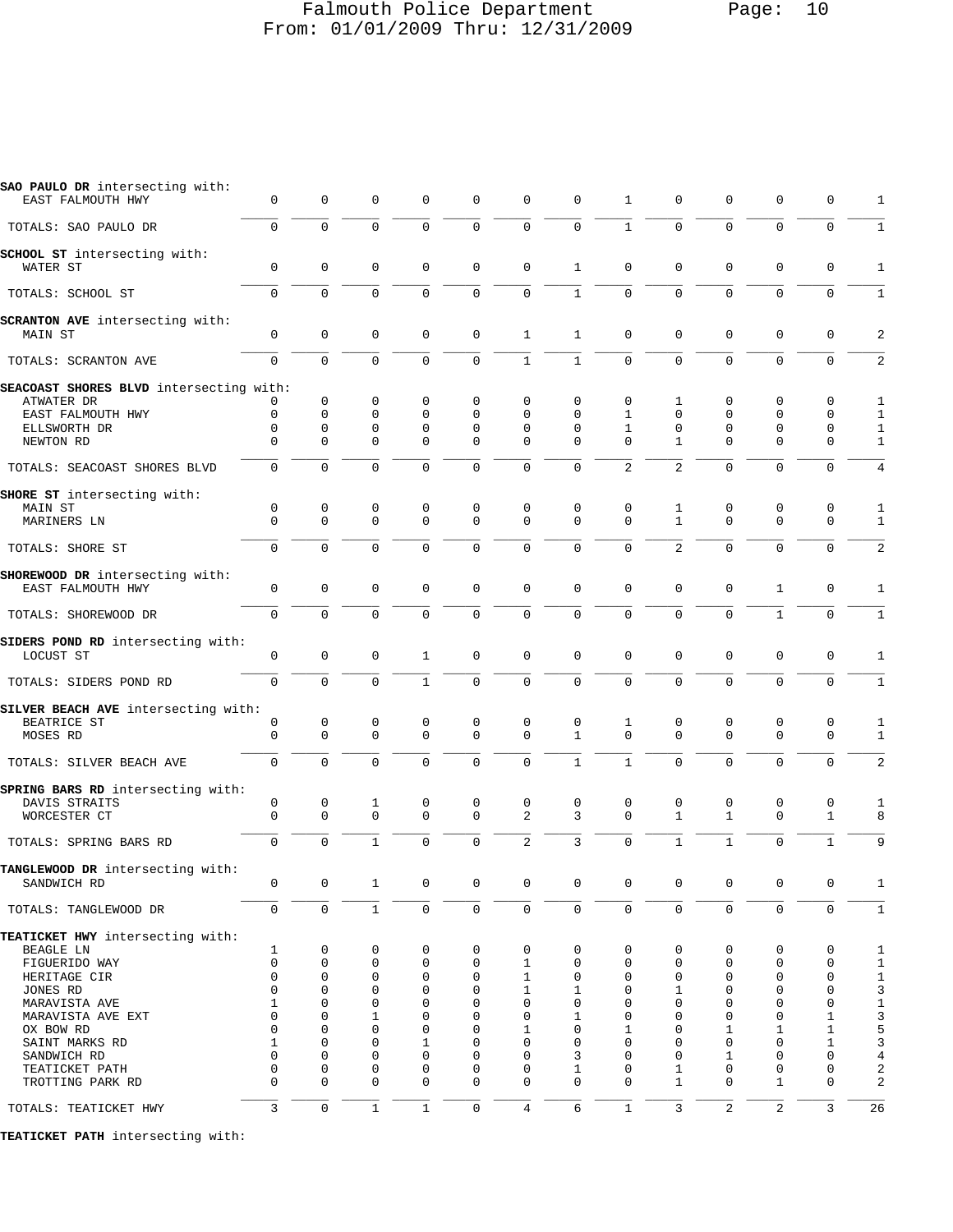## Falmouth Police Department Page: 10 From: 01/01/2009 Thru: 12/31/2009

| SAO PAULO DR intersecting with:<br>EAST FALMOUTH HWY | 0                   | 0           | 0            | 0            | 0           | 0              | 0                   | 1              | 0              | 0            | 0            | 0            | 1            |
|------------------------------------------------------|---------------------|-------------|--------------|--------------|-------------|----------------|---------------------|----------------|----------------|--------------|--------------|--------------|--------------|
| TOTALS: SAO PAULO DR                                 | $\mathbf{0}$        | $\mathbf 0$ | $\mathbf 0$  | $\mathbf 0$  | $\mathbf 0$ | 0              | $\mathbf 0$         | $\mathbf{1}$   | $\mathbf 0$    | $\mathbf 0$  | $\mathbf 0$  | 0            | $\mathbf{1}$ |
| SCHOOL ST intersecting with:                         |                     | 0           | $\mathbf 0$  |              | $\mathbf 0$ | $\mathbf 0$    | $\mathbf{1}$        | $\mathbf 0$    | $\mathbf 0$    | $\mathbf 0$  | $\mathbf 0$  |              |              |
| WATER ST                                             | $\mathbf 0$         |             |              | 0            |             |                |                     |                |                |              |              | 0            | 1            |
| TOTALS: SCHOOL ST                                    | $\mathbf 0$         | 0           | $\mathbf 0$  | 0            | $\mathbf 0$ | $\mathsf 0$    | $\mathbf{1}$        | 0              | $\mathbf 0$    | $\mathbf 0$  | $\mathbf 0$  | $\mathbf 0$  | $\mathbf{1}$ |
| <b>SCRANTON AVE</b> intersecting with:<br>MAIN ST    | 0                   | 0           | $\mathbf 0$  | 0            | $\mathsf 0$ | $\mathbf{1}$   | 1                   | 0              | $\mathbf 0$    | $\mathbf 0$  | 0            | 0            | 2            |
| TOTALS: SCRANTON AVE                                 | $\Omega$            | $\Omega$    | $\mathbf 0$  | 0            | $\mathbf 0$ | $\mathbf{1}$   | $\mathbf{1}$        | $\Omega$       | $\Omega$       | $\mathbf 0$  | $\mathbf 0$  | $\mathbf 0$  | 2            |
| SEACOAST SHORES BLVD intersecting with:              |                     |             |              |              |             |                |                     |                |                |              |              |              |              |
| ATWATER DR                                           | 0                   | $\mathbf 0$ | 0            | 0            | 0           | 0              | 0                   | 0              | 1              | 0            | 0            | 0            | 1            |
| EAST FALMOUTH HWY                                    | $\mathbf 0$         | 0           | $\mathbf 0$  | $\mathbf 0$  | $\Omega$    | 0              | $\Omega$            | 1              | $\mathbf 0$    | 0            | $\mathbf 0$  | 0            | 1            |
| ELLSWORTH DR                                         | $\mathbf 0$         | 0           | $\mathbf 0$  | $\mathbf 0$  | $\mathbf 0$ | 0              | $\mathbf 0$         | 1              | 0              | 0            | $\mathbf 0$  | $\mathbf 0$  | $\mathbf{1}$ |
| NEWTON RD                                            | 0                   | $\Omega$    | $\mathbf 0$  | $\mathbf 0$  | $\mathbf 0$ | 0              | $\Omega$            | $\Omega$       | 1              | $\mathbf 0$  | $\mathbf 0$  | 0            | $\mathbf{1}$ |
| TOTALS: SEACOAST SHORES BLVD                         | $\mathbf 0$         | 0           | $\mathbf 0$  | $\mathbf 0$  | $\mathbf 0$ | $\mathbf 0$    | $\mathbf 0$         | $\overline{2}$ | 2              | $\mathbf 0$  | $\mathbf 0$  | $\mathbf 0$  | 4            |
| SHORE ST intersecting with:                          |                     |             |              |              |             |                |                     |                |                |              |              |              |              |
| MAIN ST                                              | 0                   | 0           | $\mathbf 0$  | 0            | $\mathbf 0$ | $\mathsf 0$    | $\mathbf 0$         | 0              | 1              | $\mathbf 0$  | $\mathbf 0$  | 0            | 1            |
| MARINERS LN                                          | $\mathbf{0}$        | 0           | $\mathbf 0$  | $\mathbf 0$  | $\mathbf 0$ | $\mathbf 0$    | $\mathbf 0$         | $\mathbf 0$    | $\mathbf{1}$   | $\mathbf 0$  | $\mathbf 0$  | $\mathbf 0$  | $\mathbf{1}$ |
| TOTALS: SHORE ST                                     | $\Omega$            | $\Omega$    | $\Omega$     | $\Omega$     | $\mathbf 0$ | $\mathbf 0$    | $\mathbf 0$         | $\Omega$       | $\overline{a}$ | $\mathbf 0$  | $\mathbf 0$  | 0            | 2            |
|                                                      |                     |             |              |              |             |                |                     |                |                |              |              |              |              |
| SHOREWOOD DR intersecting with:<br>EAST FALMOUTH HWY | $\mathbf 0$         | 0           | 0            | 0            | $\mathsf 0$ | 0              | $\mathbf 0$         | 0              | $\mathbf 0$    | $\mathbf 0$  | 1            | 0            | 1            |
| TOTALS: SHOREWOOD DR                                 | $\mathbf 0$         | $\mathbf 0$ | $\mathbf 0$  | $\mathbf 0$  | $\mathbf 0$ | $\mathbf 0$    | $\mathbf 0$         | 0              | $\mathbf 0$    | $\mathbf 0$  | $\mathbf{1}$ | $\mathbf 0$  | $\mathbf{1}$ |
| SIDERS POND RD intersecting with:                    |                     |             |              |              |             |                |                     |                |                |              |              |              |              |
| LOCUST ST                                            | 0                   | 0           | 0            | 1            | $\mathbf 0$ | $\mathsf 0$    | $\mathsf 0$         | 0              | 0              | $\mathbf 0$  | 0            | 0            | 1            |
|                                                      |                     |             |              |              |             |                |                     |                |                |              |              |              |              |
| TOTALS: SIDERS POND RD                               | $\mathbf 0$         | 0           | $\mathbf 0$  | $\mathbf{1}$ | $\mathbf 0$ | $\mathbf 0$    | $\mathsf 0$         | 0              | $\mathbf 0$    | $\mathbf 0$  | $\mathbf 0$  | 0            | $\mathbf{1}$ |
| SILVER BEACH AVE intersecting with:                  |                     |             |              |              |             |                |                     |                |                |              |              |              |              |
| BEATRICE ST                                          | 0                   | 0           | 0            | 0            | 0           | 0              | 0                   | 1              | 0              | 0            | 0            | 0            | 1            |
| MOSES RD                                             | 0                   | 0           | $\mathbf{0}$ | $\mathbf 0$  | $\mathbf 0$ | $\mathbf 0$    | $\mathbf{1}$        | $\Omega$       | $\Omega$       | $\mathbf 0$  | $\mathbf 0$  | 0            | 1            |
|                                                      |                     |             |              |              |             |                |                     |                |                |              |              |              |              |
| TOTALS: SILVER BEACH AVE                             | $\mathbf{0}$        | $\mathbf 0$ | $\mathbf{0}$ | $\mathbf 0$  | $\mathbf 0$ | $\mathbf 0$    | $\mathbf{1}$        | $\mathbf{1}$   | $\Omega$       | $\mathbf 0$  | $\mathbf 0$  | $\mathbf 0$  | 2            |
| SPRING BARS RD intersecting with:                    |                     |             |              |              |             |                |                     |                |                |              |              |              |              |
| DAVIS STRAITS                                        | 0                   | 0           | 1            | 0            | 0           | 0              | 0                   | 0              | 0              | 0            | 0            | 0            | 1            |
| WORCESTER CT                                         | $\mathbf 0$         | 0           | $\mathbf 0$  | $\Omega$     | $\mathbf 0$ | $\overline{2}$ | 3                   | $\Omega$       | $\mathbf{1}$   | $\mathbf{1}$ | $\mathbf 0$  | $\mathbf{1}$ | 8            |
|                                                      |                     |             |              |              |             |                |                     |                |                |              |              |              |              |
| TOTALS: SPRING BARS RD                               | $\mathbf 0$         | $\mathbf 0$ | $\mathbf 1$  | 0            | $\mathbf 0$ | $\overline{2}$ | 3                   | 0              | $\mathbf{1}$   | $\mathbf{1}$ | $\mathbf 0$  | 1            | 9            |
| TANGLEWOOD DR intersecting with:                     |                     |             |              |              |             |                |                     |                |                |              |              |              |              |
| SANDWICH RD                                          | 0                   | 0           | 1            | 0            | 0           | 0              | $\mathbf 0$         | 0              | $\mathbf 0$    | 0            | 0            | 0            |              |
| TOTALS: TANGLEWOOD DR                                | $\mathsf{O}\xspace$ | $\mathbf 0$ | $\mathbf{1}$ | 0            | $\mathsf 0$ | $\mathsf 0$    | $\mathsf{O}\xspace$ | $\mathbf 0$    | $\mathbf 0$    | $\mathbf 0$  | $\mathbf 0$  | $\mathbf 0$  | $\mathbf{1}$ |
| TEATICKET HWY intersecting with:                     |                     |             |              |              |             |                |                     |                |                |              |              |              |              |
| BEAGLE LN                                            | 1                   | 0           | 0            | 0            | 0           | 0              | 0                   | 0              | 0              | 0            | 0            | 0            | 1            |
| FIGUERIDO WAY                                        | $\mathbf{0}$        | 0           | 0            | 0            | 0           | 1              | 0                   | 0              | 0              | 0            | 0            | 0            | $1\,$        |
| HERITAGE CIR                                         | $\mathbf{0}$        | 0           | 0            | 0            | $\mathbf 0$ | 1              | $\mathbf 0$         | 0              | $\mathbf 0$    | 0            | $\mathbf 0$  | $\mathsf 0$  | $1\,$        |
| JONES RD                                             | 0                   | 0           | 0            | 0            | $\mathbf 0$ | 1              | 1                   | 0              | 1              | 0            | $\mathbf 0$  | 0            | 3            |
| MARAVISTA AVE                                        | 1                   | 0           | 0            | $\Omega$     | 0           | 0              | $\mathbf 0$         | $\Omega$       | 0              | 0            | $\mathbf 0$  | 0            | $1\,$        |
| MARAVISTA AVE EXT                                    | 0                   | 0           | 1            | 0            | $\mathbf 0$ | 0              | 1                   | 0              | 0              | 0            | $\mathbf 0$  | $\mathbf{1}$ | 3            |
| OX BOW RD                                            | 0                   | 0           | $\mathbf 0$  | 0            | $\mathbf 0$ | 1              | $\mathbf 0$         | 1              | 0              | 1            | 1            | $\mathbf{1}$ | 5            |
| SAINT MARKS RD                                       | 1                   | 0           | 0            | 1            | $\mathbf 0$ | 0              | $\mathbf 0$         | 0              | $\Omega$       | 0            | $\mathbf 0$  | 1            | 3            |
| SANDWICH RD                                          | $\mathbf 0$         | 0           | 0            | 0            | $\mathbf 0$ | 0              | 3                   | 0              | 0              | 1            | $\mathbf 0$  | $\mathbf 0$  | 4            |
| TEATICKET PATH                                       | 0                   | 0           | 0            | 0            | $\mathbf 0$ | 0              | 1                   | 0              | 1              | 0            | 0            | $\mathsf 0$  | 2            |
| TROTTING PARK RD                                     | $\Omega$            | $\Omega$    | $\Omega$     | 0            | $\mathbf 0$ | $\mathbf 0$    | $\Omega$            | $\Omega$       | 1              | 0            | 1            | 0            | 2            |
| TOTALS: TEATICKET HWY                                | 3                   | $\mathbf 0$ | $\mathbf{1}$ | $\mathbf{1}$ | $\mathbf 0$ | $\overline{4}$ | 6                   | $\mathbf{1}$   | 3              | 2            | 2            | 3            | 26           |
|                                                      |                     |             |              |              |             |                |                     |                |                |              |              |              |              |
| TEATICKET PATH intersecting with:                    |                     |             |              |              |             |                |                     |                |                |              |              |              |              |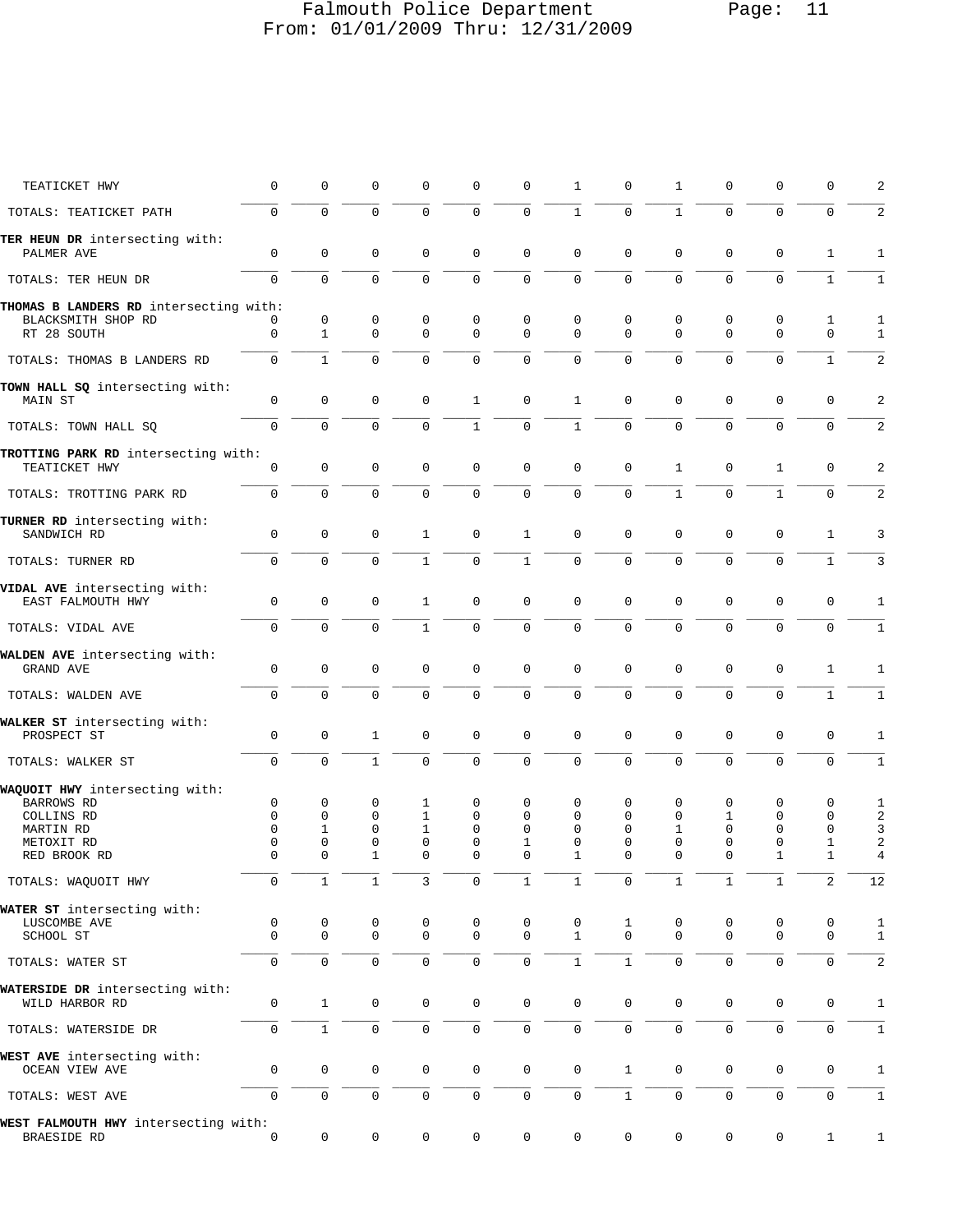# Falmouth Police Department Page: 11 From: 01/01/2009 Thru: 12/31/2009

| TEATICKET HWY                                                               | 0             | 0                       | 0                 | 0                       | 0                 | 0                | 1                           | 0             | 1                | 0                       | $\mathbf 0$       | 0                | 2                   |
|-----------------------------------------------------------------------------|---------------|-------------------------|-------------------|-------------------------|-------------------|------------------|-----------------------------|---------------|------------------|-------------------------|-------------------|------------------|---------------------|
| TOTALS: TEATICKET PATH                                                      | 0             | 0                       | 0                 | 0                       | 0                 | $\mathbf 0$      | $\mathbf{1}$                | $\mathbf 0$   | $\mathbf{1}$     | $\mathbf 0$             | $\mathbf 0$       | $\mathbf 0$      | $\sqrt{2}$          |
| TER HEUN DR intersecting with:<br>PALMER AVE                                | $\mathbf 0$   | $\mathbf 0$             | 0                 | $\mathbf 0$             | 0                 | $\mathbf 0$      | $\mathbf 0$                 | $\mathbf 0$   | $\mathbf 0$      | $\mathbf 0$             | $\mathbf{0}$      | $\mathbf{1}$     | 1                   |
| TOTALS: TER HEUN DR                                                         | $\Omega$      | 0                       | 0                 | $\mathbf 0$             | 0                 | $\mathbf 0$      | $\mathbf 0$                 | $\mathbf 0$   | 0                | $\mathbf 0$             | $\mathbf 0$       | $\mathbf{1}$     | $\mathbf{1}$        |
|                                                                             |               |                         |                   |                         |                   |                  |                             |               |                  |                         |                   |                  |                     |
| THOMAS B LANDERS RD intersecting with:<br>BLACKSMITH SHOP RD<br>RT 28 SOUTH | 0<br>0        | 0<br>$\mathbf{1}$       | 0<br>0            | 0<br>$\Omega$           | 0<br>0            | 0<br>$\Omega$    | 0<br>$\Omega$               | 0<br>$\Omega$ | 0<br>$\mathbf 0$ | 0<br>$\mathbf 0$        | 0<br>$\mathbf{0}$ | 1<br>$\mathbf 0$ | 1<br>1              |
| TOTALS: THOMAS B LANDERS RD                                                 | 0             | $\mathbf{1}$            | 0                 | $\mathbf 0$             | 0                 | $\mathbf 0$      | $\mathbf 0$                 | $\Omega$      | 0                | $\mathbf 0$             | $\mathbf 0$       | $\mathbf{1}$     | 2                   |
| TOWN HALL SQ intersecting with:<br>MAIN ST                                  | 0             | $\mathbf 0$             | $\mathsf 0$       | 0                       | 1                 | $\mathbf 0$      | $\mathbf{1}$                | $\mathbf 0$   | 0                | 0                       | 0                 | 0                | 2                   |
| TOTALS: TOWN HALL SQ                                                        | 0             | $\mathbf 0$             | $\mathbf 0$       | $\mathbf{0}$            | $\mathbf{1}$      | $\mathbf 0$      | $\mathbf{1}$                | $\mathbf 0$   | $\mathbf 0$      | $\mathbf 0$             | $\mathbf 0$       | 0                | 2                   |
|                                                                             |               |                         |                   |                         |                   |                  |                             |               |                  |                         |                   |                  |                     |
| TROTTING PARK RD intersecting with:<br>TEATICKET HWY                        | 0             | $\mathsf 0$             | $\mathsf 0$       | $\mathbf 0$             | 0                 | $\mathbf 0$      | $\mathbf 0$                 | $\mathsf 0$   | 1                | $\mathbf 0$             | 1                 | $\mathbf 0$      | 2                   |
| TOTALS: TROTTING PARK RD                                                    | 0             | 0                       | 0                 | 0                       | $\mathbf 0$       | $\mathbf 0$      | $\overline{0}$              | $\mathbf 0$   | $\mathbf{1}$     | $\mathbf 0$             | $\mathbf{1}$      | $\mathbf 0$      | 2                   |
| TURNER RD intersecting with:<br>SANDWICH RD                                 | 0             | $\mathbf 0$             | 0                 | 1                       | 0                 | $\mathbf{1}$     | $\mathbf 0$                 | $\mathbf 0$   | 0                | $\mathbf 0$             | $\mathbf 0$       | 1                | 3                   |
| TOTALS: TURNER RD                                                           | $\mathbf 0$   | $\mathbf 0$             | 0                 | $\mathbf{1}$            | $\mathbf 0$       | $\mathbf{1}$     | $\overline{0}$              | $\mathbf 0$   | $\mathbf 0$      | $\mathbf 0$             | $\mathbf{0}$      | $\mathbf{1}$     | 3                   |
| VIDAL AVE intersecting with:<br>EAST FALMOUTH HWY                           | 0             | 0                       | 0                 | $\mathbf{1}$            | 0                 | 0                | $\mathbf 0$                 | $\mathbf 0$   | 0                | $\mathbf 0$             | $\mathbf 0$       | 0                | 1                   |
| TOTALS: VIDAL AVE                                                           | $\mathbf{0}$  | $\Omega$                | $\mathbf 0$       | $\mathbf{1}$            | 0                 | $\mathbf 0$      | $\mathbf 0$                 | $\Omega$      | $\Omega$         | $\Omega$                | $\mathbf 0$       | $\mathbf 0$      | 1                   |
|                                                                             |               |                         |                   |                         |                   |                  |                             |               |                  |                         |                   |                  |                     |
| WALDEN AVE intersecting with:<br>GRAND AVE                                  | $\mathbf 0$   | 0                       | 0                 | $\mathbf 0$             | 0                 | $\mathbf 0$      | $\mathbf 0$                 | 0             | 0                | $\mathbf 0$             | $\mathbf 0$       | 1                | 1                   |
| TOTALS: WALDEN AVE                                                          | 0             | $\mathbf 0$             | $\mathsf 0$       | $\mathbf 0$             | 0                 | $\mathbf 0$      | $\mathbf 0$                 | $\mathbf 0$   | $\mathbf 0$      | $\mathbf 0$             | $\mathbf{0}$      | $\mathbf{1}$     | $\mathbf 1$         |
| WALKER ST intersecting with:                                                |               |                         |                   |                         |                   |                  |                             |               |                  |                         |                   |                  |                     |
| PROSPECT ST                                                                 | 0             | $\mathbf 0$             | $\mathbf{1}$      | $\mathbf 0$             | 0                 | $\mathbf 0$      | $\mathbf 0$                 | $\mathbf 0$   | 0                | $\mathbf 0$             | $\mathbf 0$       | $\mathbf 0$      | 1                   |
| TOTALS: WALKER ST                                                           | 0             | $\overline{0}$          | $\mathbf{1}$      | $\mathbf 0$             | 0                 | $\mathbf 0$      | $\overline{0}$              | $\Omega$      | 0                | $\mathbf 0$             | $\mathbf 0$       | $\Omega$         | $\mathbf{1}$        |
| WAQUOIT HWY intersecting with:                                              |               |                         |                   |                         |                   |                  |                             |               |                  |                         |                   |                  |                     |
| <b>BARROWS RD</b>                                                           | 0             | 0                       | 0                 | 1                       | 0                 | 0                | 0                           | 0             | 0                | 0                       | $\mathbf 0$       | 0                | 1                   |
| COLLINS RD                                                                  | $\Omega$      | 0                       | 0                 | 1                       | 0                 | 0                | 0                           | 0             | 0                | 1                       | 0                 | $\mathbf 0$      | 2                   |
| MARTIN RD                                                                   | $\Omega$      | 1                       | 0                 | $\mathbf{1}$            | $\Omega$          | $\Omega$         | 0                           | $\Omega$      | 1                | $\Omega$                | $\mathbf 0$       | 0                | 3                   |
| METOXIT RD<br>RED BROOK RD                                                  | 0<br>$\Omega$ | $\mathbf 0$<br>$\Omega$ | 0<br>$\mathbf{1}$ | $\mathbf 0$<br>$\Omega$ | 0<br>$\Omega$     | 1<br>$\Omega$    | 0<br>1                      | 0<br>0        | 0<br>$\Omega$    | $\mathbf 0$<br>$\Omega$ | 0<br>1            | 1<br>1           | 2<br>$\overline{4}$ |
| TOTALS: WAQUOIT HWY                                                         | $\mathbf 0$   | $\mathbf{1}$            | $\mathbf{1}$      | 3                       | $\mathsf 0$       | 1                | 1                           | 0             | $\mathbf{1}$     | $\mathbf{1}$            | $\mathbf{1}$      | 2                | 12                  |
|                                                                             |               |                         |                   |                         |                   |                  |                             |               |                  |                         |                   |                  |                     |
| WATER ST intersecting with:                                                 |               |                         |                   |                         |                   |                  |                             |               |                  |                         |                   |                  |                     |
| LUSCOMBE AVE<br>SCHOOL ST                                                   | 0<br>$\Omega$ | 0<br>$\mathbf{0}$       | 0<br>$\mathbf 0$  | 0<br>$\mathbf 0$        | 0<br>$\mathbf{0}$ | 0<br>$\mathbf 0$ | $\mathbf 0$<br>$\mathbf{1}$ | 1<br>$\Omega$ | 0<br>$\mathbf 0$ | 0<br>0                  | 0<br>$\mathbf{0}$ | 0<br>$\mathbf 0$ | 1<br>$\mathbf 1$    |
| TOTALS: WATER ST                                                            | 0             | $\mathbf 0$             | 0                 | $\mathbf{0}$            | 0                 | $\mathbf 0$      | $\mathbf{1}$                | $\mathbf{1}$  | $\mathbf 0$      | $\mathbf 0$             | 0                 | 0                | 2                   |
| WATERSIDE DR intersecting with:                                             |               |                         |                   |                         |                   |                  |                             |               |                  |                         |                   |                  |                     |
| WILD HARBOR RD                                                              | 0             | $\mathbf{1}$            | 0                 | 0                       | 0                 | $\mathbf 0$      | $\mathbf 0$                 | 0             | 0                | 0                       | 0                 | 0                | 1                   |
| TOTALS: WATERSIDE DR                                                        | 0             | $\mathbf{1}$            | $\mathbf 0$       | $\mathbf 0$             | 0                 | $\mathbf 0$      | $\mathsf{O}\xspace$         | $\mathbf{0}$  | $\mathbf 0$      | $\mathbf 0$             | $\mathbf 0$       | $\mathbf 0$      | $\mathbf{1}$        |
| WEST AVE intersecting with:                                                 |               |                         |                   |                         |                   |                  |                             |               |                  |                         |                   |                  |                     |
| OCEAN VIEW AVE                                                              | 0             | $\mathsf 0$             | $\mathsf 0$       | 0                       | 0                 | $\mathbf 0$      | $\mathbf 0$                 | $\mathbf{1}$  | 0                | 0                       | 0                 | $\mathbf 0$      | 1                   |
| TOTALS: WEST AVE                                                            | 0             | $\mathbf 0$             | $\mathsf 0$       | $\mathbf 0$             | 0                 | $\mathbf 0$      | $\mathbf 0$                 | $\mathbf{1}$  | 0                | $\mathbf 0$             | $\mathsf 0$       | 0                | 1                   |
| WEST FALMOUTH HWY intersecting with:<br>BRAESIDE RD                         | 0             | 0                       | 0                 | 0                       | 0                 | 0                | 0                           | 0             | 0                | 0                       | 0                 | $\mathbf 1$      | 1                   |
|                                                                             |               |                         |                   |                         |                   |                  |                             |               |                  |                         |                   |                  |                     |